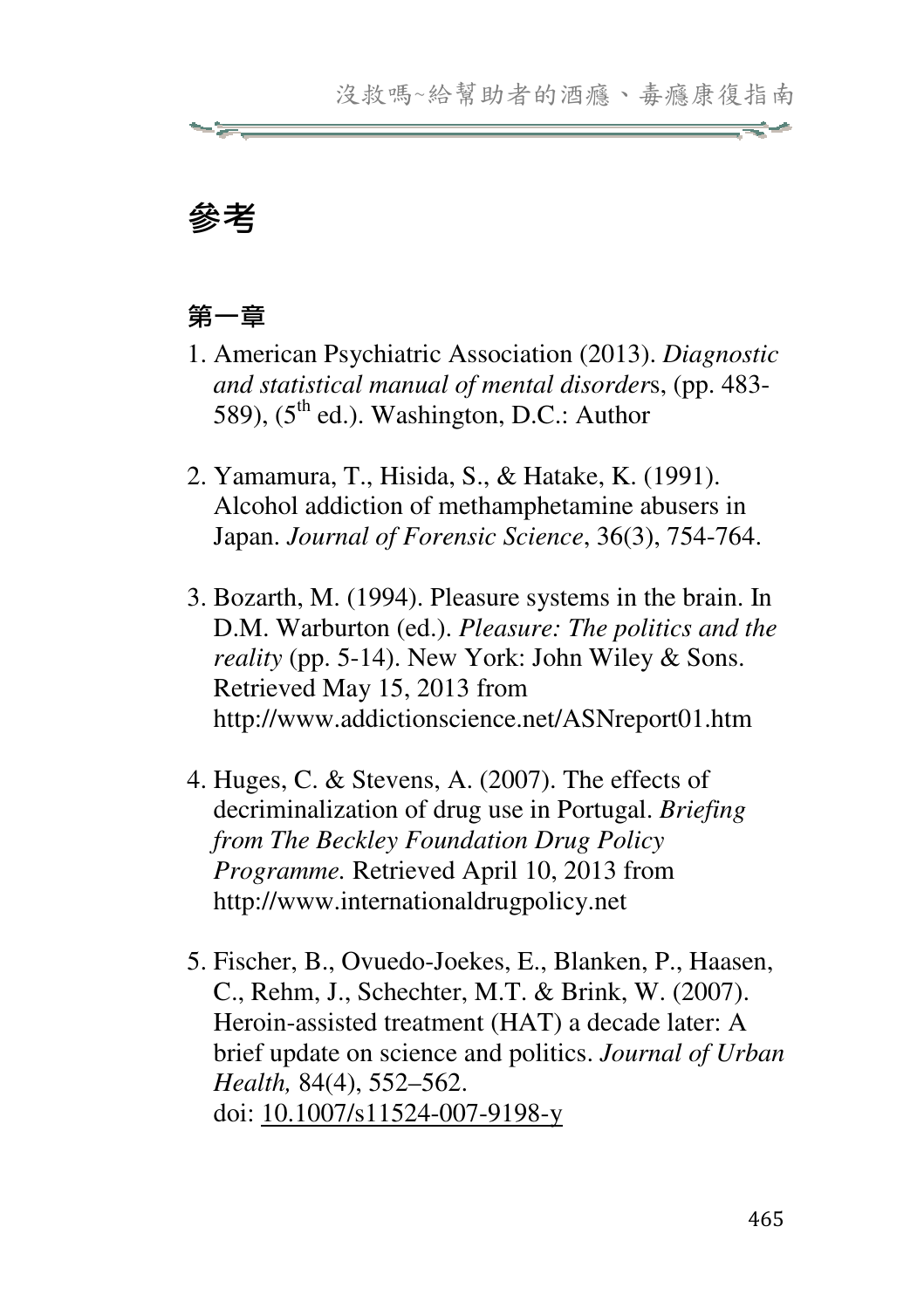# 參考

### 第一章

- 1. American Psychiatric Association (2013). *Diagnostic and statistical manual of mental disorder*s, (pp. 483- 589),  $(5^{th}$  ed.). Washington, D.C.: Author
- 2. Yamamura, T., Hisida, S., & Hatake, K. (1991). Alcohol addiction of methamphetamine abusers in Japan. *Journal of Forensic Science*, 36(3), 754-764.
- 3. Bozarth, M. (1994). Pleasure systems in the brain. In D.M. Warburton (ed.). *Pleasure: The politics and the reality* (pp. 5-14). New York: John Wiley & Sons. Retrieved May 15, 2013 from http://www.addictionscience.net/ASNreport01.htm
- 4. Huges, C. & Stevens, A. (2007). The effects of decriminalization of drug use in Portugal. *Briefing from The Beckley Foundation Drug Policy Programme.* Retrieved April 10, 2013 from http://www.internationaldrugpolicy.net
- 5. Fischer, B., Ovuedo-Joekes, E., Blanken, P., Haasen, C., Rehm, J., Schechter, M.T. & Brink, W. (2007). Heroin-assisted treatment (HAT) a decade later: A brief update on science and politics. *Journal of Urban Health,* 84(4), 552–562. doi: 10.1007/s11524-007-9198-y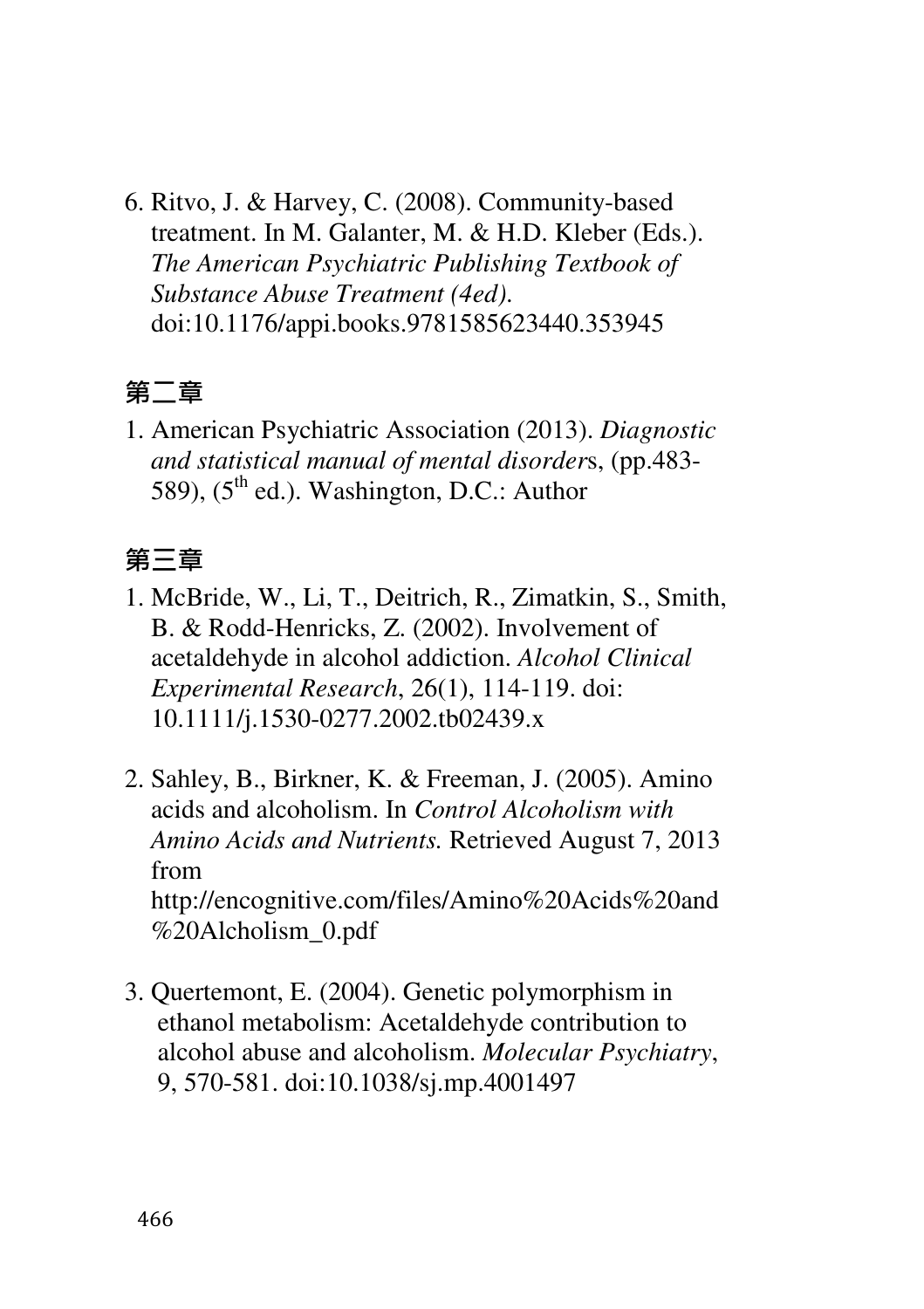6. Ritvo, J. & Harvey, C. (2008). Community-based treatment. In M. Galanter, M. & H.D. Kleber (Eds.). *The American Psychiatric Publishing Textbook of Substance Abuse Treatment (4ed)*. doi:10.1176/appi.books.9781585623440.353945

#### 第二章

1. American Psychiatric Association (2013). *Diagnostic and statistical manual of mental disorder*s, (pp.483- 589),  $(5^{th}$  ed.). Washington, D.C.: Author

#### 第三章

- 1. McBride, W., Li, T., Deitrich, R., Zimatkin, S., Smith, B. & Rodd-Henricks, Z. (2002). Involvement of acetaldehyde in alcohol addiction. *Alcohol Clinical Experimental Research*, 26(1), 114-119. doi: 10.1111/j.1530-0277.2002.tb02439.x
- 2. Sahley, B., Birkner, K. & Freeman, J. (2005). Amino acids and alcoholism. In *Control Alcoholism with Amino Acids and Nutrients.* Retrieved August 7, 2013 from http://encognitive.com/files/Amino%20Acids%20and %20Alcholism\_0.pdf
- 3. Quertemont, E. (2004). Genetic polymorphism in ethanol metabolism: Acetaldehyde contribution to alcohol abuse and alcoholism. *Molecular Psychiatry*, 9, 570-581. doi:10.1038/sj.mp.4001497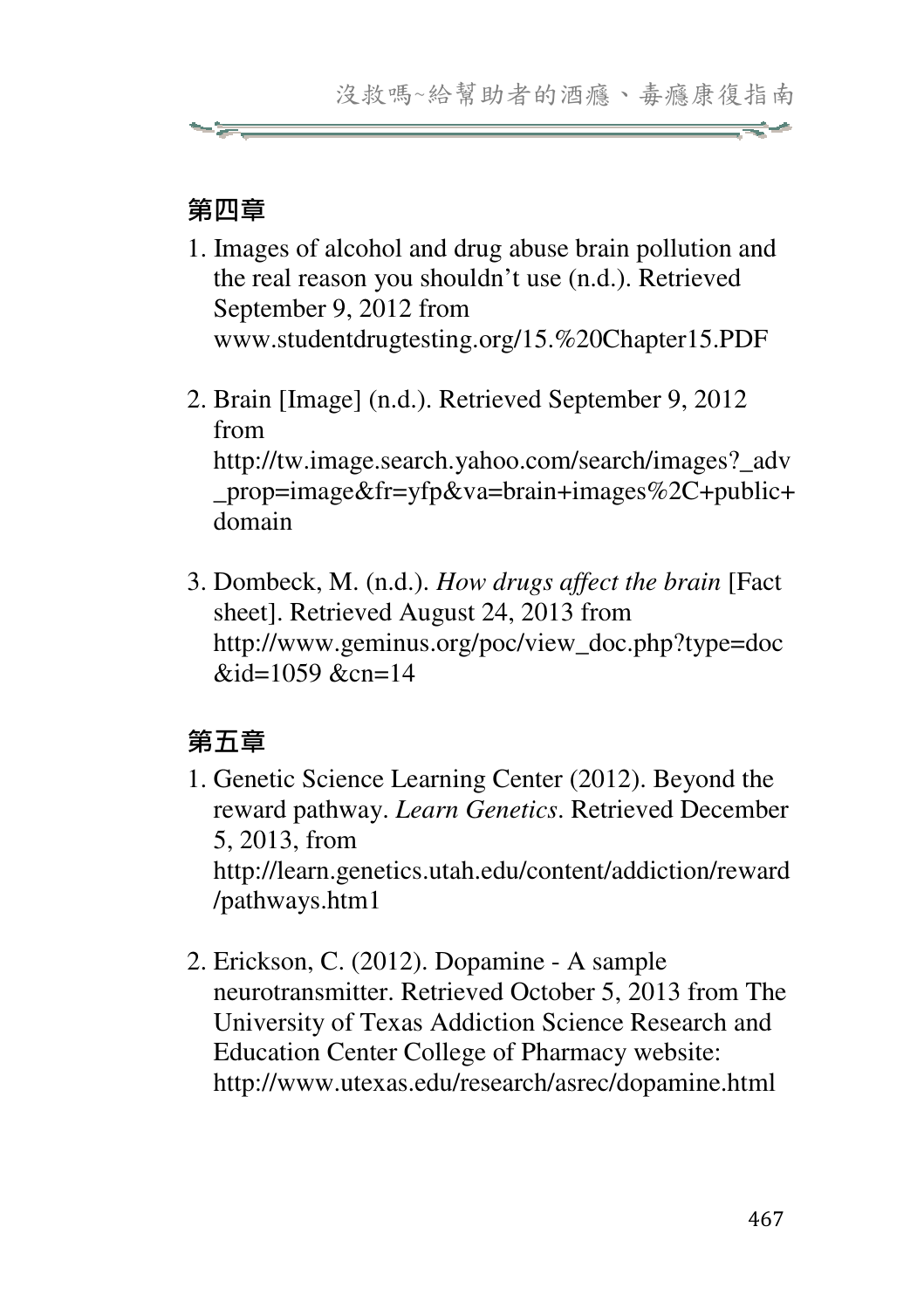#### 第四章

- 1. Images of alcohol and drug abuse brain pollution and the real reason you shouldn't use (n.d.). Retrieved September 9, 2012 from www.studentdrugtesting.org/15.%20Chapter15.PDF
- 2. Brain [Image] (n.d.). Retrieved September 9, 2012 from http://tw.image.search.yahoo.com/search/images?\_adv \_prop=image&fr=yfp&va=brain+images%2C+public+ domain
- 3. Dombeck, M. (n.d.). *How drugs affect the brain* [Fact sheet]. Retrieved August 24, 2013 from http://www.geminus.org/poc/view\_doc.php?type=doc  $\&$ id=1059  $&$ cn=14

# 第五章

- 1. Genetic Science Learning Center (2012). Beyond the reward pathway. *Learn Genetics*. Retrieved December 5, 2013, from http://learn.genetics.utah.edu/content/addiction/reward /pathways.htm1
- 2. Erickson, C. (2012). Dopamine A sample neurotransmitter. Retrieved October 5, 2013 from The University of Texas Addiction Science Research and Education Center College of Pharmacy website: http://www.utexas.edu/research/asrec/dopamine.html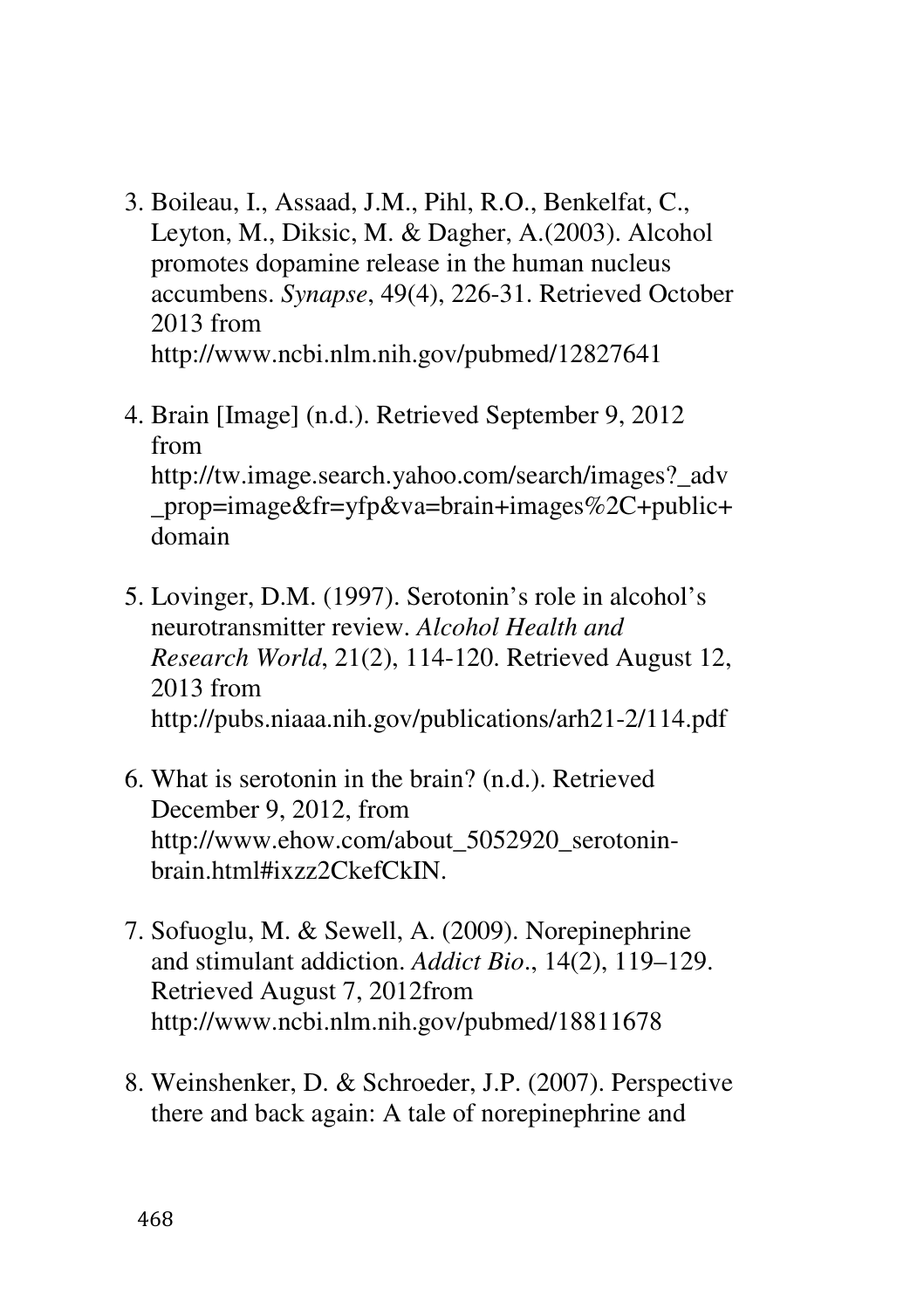- 3. Boileau, I., Assaad, J.M., Pihl, R.O., Benkelfat, C., Leyton, M., Diksic, M. & Dagher, A.(2003). Alcohol promotes dopamine release in the human nucleus accumbens. *Synapse*, 49(4), 226-31. Retrieved October 2013 from http://www.ncbi.nlm.nih.gov/pubmed/12827641
- 4. Brain [Image] (n.d.). Retrieved September 9, 2012 from http://tw.image.search.yahoo.com/search/images?\_adv \_prop=image&fr=yfp&va=brain+images%2C+public+ domain
- 5. Lovinger, D.M. (1997). Serotonin's role in alcohol's neurotransmitter review. *Alcohol Health and Research World*, 21(2), 114-120. Retrieved August 12, 2013 from http://pubs.niaaa.nih.gov/publications/arh21-2/114.pdf
- 6. What is serotonin in the brain? (n.d.). Retrieved December 9, 2012, from http://www.ehow.com/about\_5052920\_serotoninbrain.html#ixzz2CkefCkIN.
- 7. Sofuoglu, M. & Sewell, A. (2009). Norepinephrine and stimulant addiction. *Addict Bio*., 14(2), 119–129. Retrieved August 7, 2012from http://www.ncbi.nlm.nih.gov/pubmed/18811678
- 8. Weinshenker, D. & Schroeder, J.P. (2007). Perspective there and back again: A tale of norepinephrine and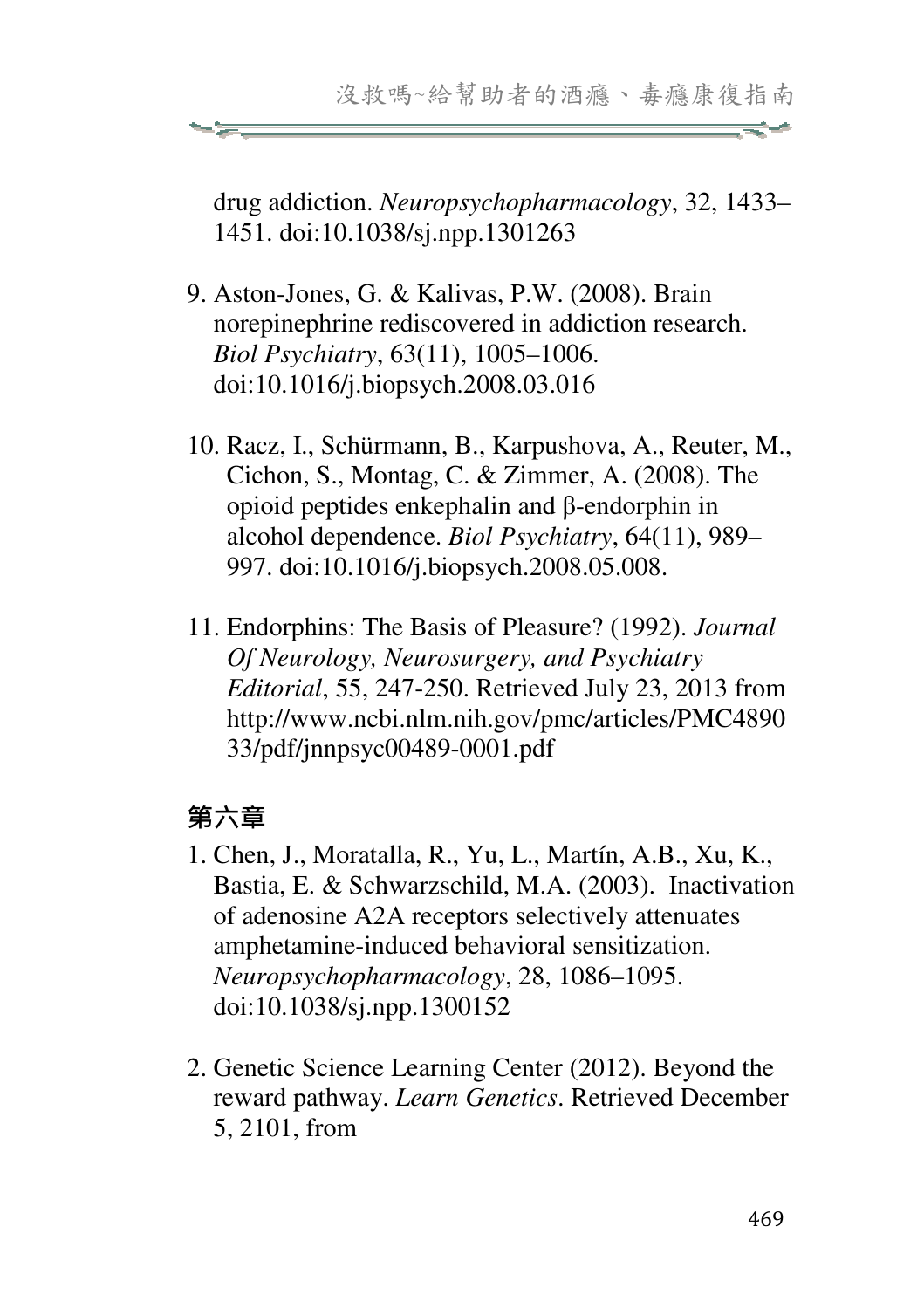drug addiction. *Neuropsychopharmacology*, 32, 1433– 1451. doi:10.1038/sj.npp.1301263

- 9. Aston-Jones, G. & Kalivas, P.W. (2008). Brain norepinephrine rediscovered in addiction research. *Biol Psychiatry*, 63(11), 1005–1006. doi:10.1016/j.biopsych.2008.03.016
- 10. Racz, I., Schürmann, B., Karpushova, A., Reuter, M., Cichon, S., Montag, C. & Zimmer, A. (2008). The opioid peptides enkephalin and β-endorphin in alcohol dependence. *Biol Psychiatry*, 64(11), 989– 997. doi:10.1016/j.biopsych.2008.05.008.
- 11. Endorphins: The Basis of Pleasure? (1992). *Journal Of Neurology, Neurosurgery, and Psychiatry Editorial*, 55, 247-250. Retrieved July 23, 2013 from http://www.ncbi.nlm.nih.gov/pmc/articles/PMC4890 33/pdf/jnnpsyc00489-0001.pdf

### 第六章

- 1. Chen, J., Moratalla, R., Yu, L., Martín, A.B., Xu, K., Bastia, E. & Schwarzschild, M.A. (2003). Inactivation of adenosine A2A receptors selectively attenuates amphetamine-induced behavioral sensitization. *Neuropsychopharmacology*, 28, 1086–1095. doi:10.1038/sj.npp.1300152
- 2. Genetic Science Learning Center (2012). Beyond the reward pathway. *Learn Genetics*. Retrieved December 5, 2101, from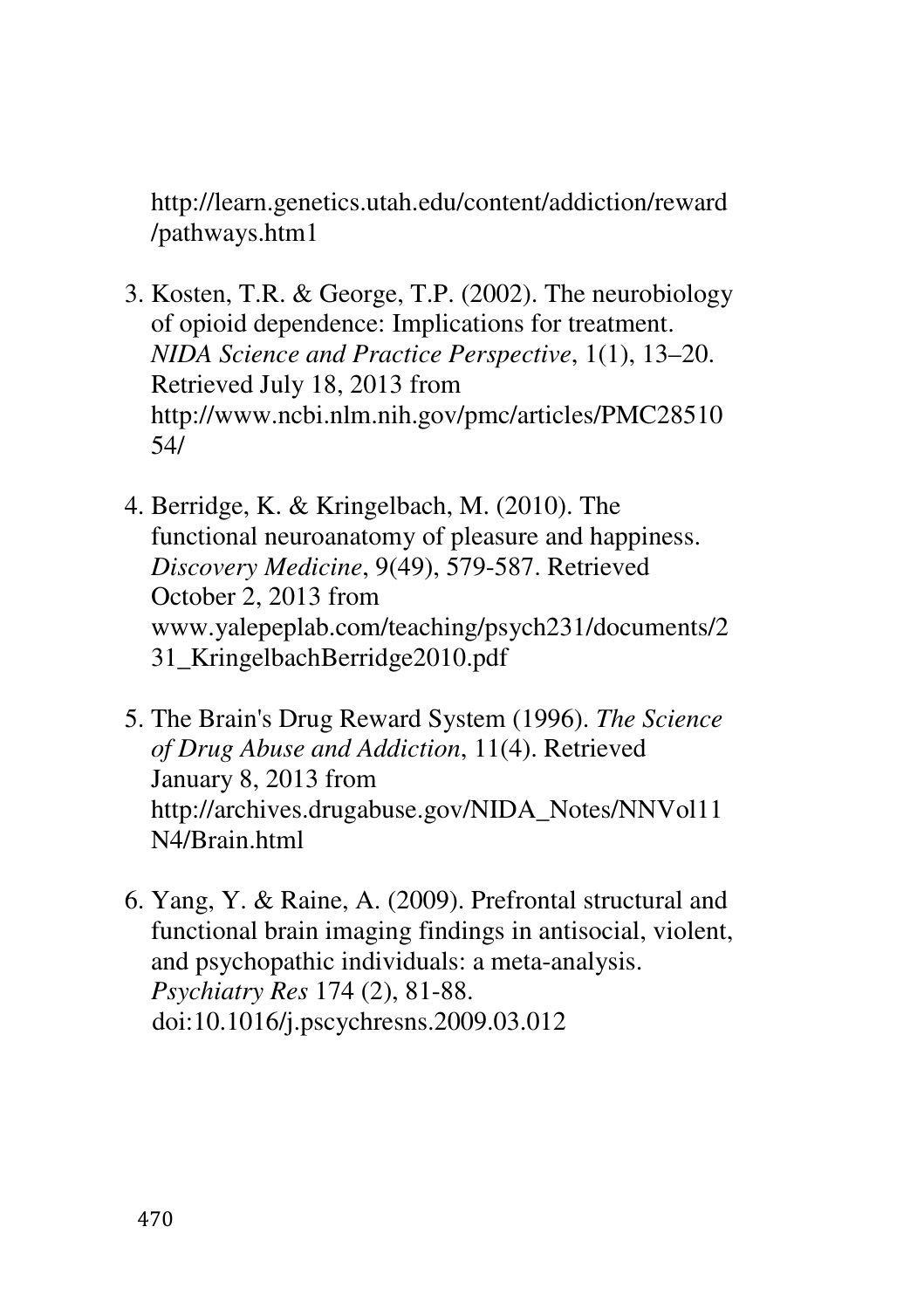http://learn.genetics.utah.edu/content/addiction/reward /pathways.htm1

- 3. Kosten, T.R. & George, T.P. (2002). The neurobiology of opioid dependence: Implications for treatment. *NIDA Science and Practice Perspective*, 1(1), 13–20. Retrieved July 18, 2013 from http://www.ncbi.nlm.nih.gov/pmc/articles/PMC28510 54/
- 4. Berridge, K. & Kringelbach, M. (2010). The functional neuroanatomy of pleasure and happiness. *Discovery Medicine*, 9(49), 579-587. Retrieved October 2, 2013 from www.yalepeplab.com/teaching/psych231/documents/2 31\_KringelbachBerridge2010.pdf
- 5. The Brain's Drug Reward System (1996). *The Science of Drug Abuse and Addiction*, 11(4). Retrieved January 8, 2013 from http://archives.drugabuse.gov/NIDA\_Notes/NNVol11 N4/Brain.html
- 6. Yang, Y. & Raine, A. (2009). Prefrontal structural and functional brain imaging findings in antisocial, violent, and psychopathic individuals: a meta-analysis. *Psychiatry Res* 174 (2), 81-88. doi:10.1016/j.pscychresns.2009.03.012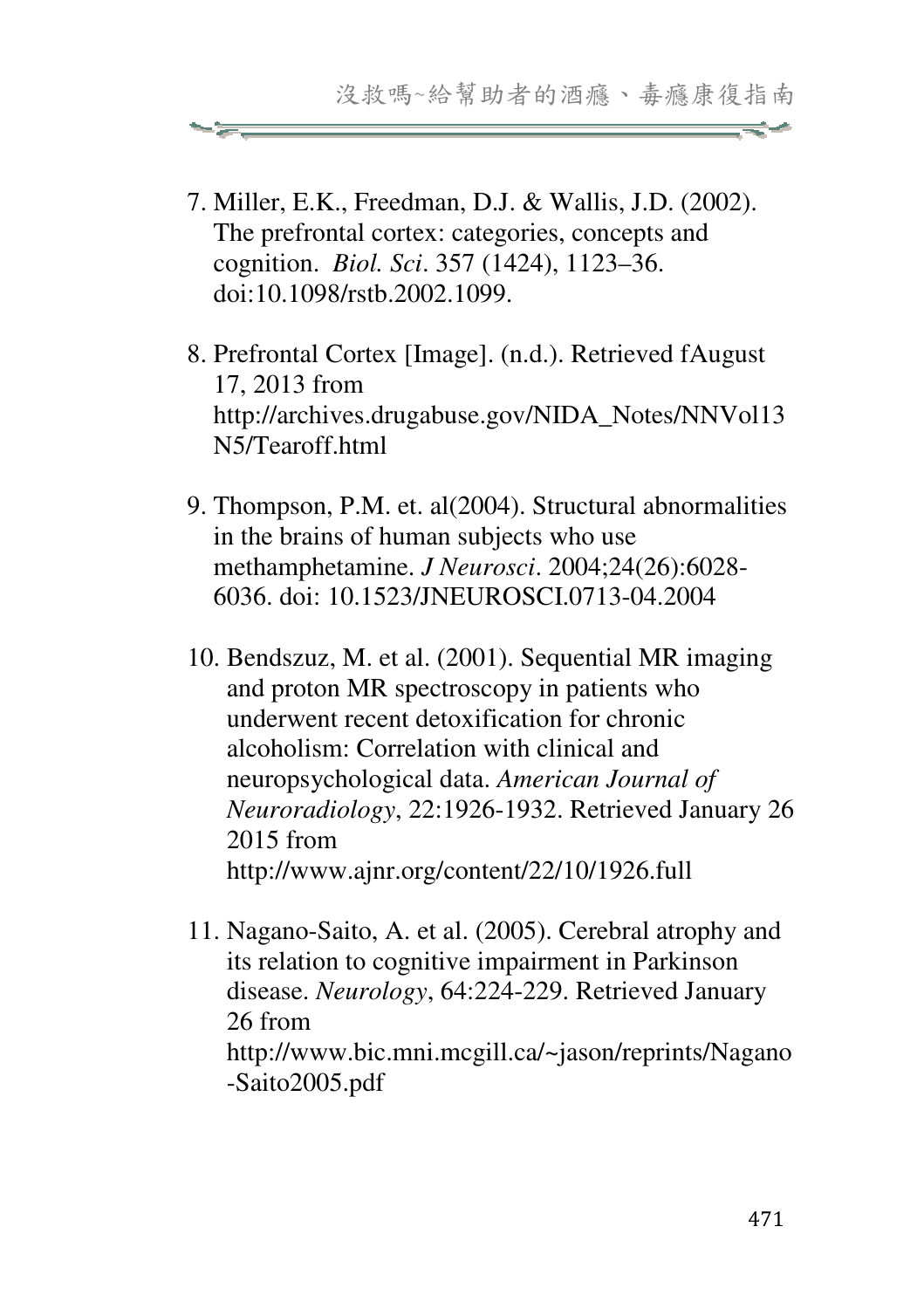7. Miller, E.K., Freedman, D.J. & Wallis, J.D. (2002). The prefrontal cortex: categories, concepts and cognition. *Biol. Sci*. 357 (1424), 1123–36. doi:10.1098/rstb.2002.1099.

- 8. Prefrontal Cortex [Image]. (n.d.). Retrieved fAugust 17, 2013 from http://archives.drugabuse.gov/NIDA\_Notes/NNVol13 N5/Tearoff.html
- 9. Thompson, P.M. et. al(2004). Structural abnormalities in the brains of human subjects who use methamphetamine. *J Neurosci*. 2004;24(26):6028- 6036. doi: 10.1523/JNEUROSCI.0713-04.2004
- 10. Bendszuz, M. et al. (2001). Sequential MR imaging and proton MR spectroscopy in patients who underwent recent detoxification for chronic alcoholism: Correlation with clinical and neuropsychological data. *American Journal of Neuroradiology*, 22:1926-1932. Retrieved January 26 2015 from http://www.ajnr.org/content/22/10/1926.full
- 11. Nagano-Saito, A. et al. (2005). Cerebral atrophy and its relation to cognitive impairment in Parkinson disease. *Neurology*, 64:224-229. Retrieved January 26 from http://www.bic.mni.mcgill.ca/~jason/reprints/Nagano -Saito2005.pdf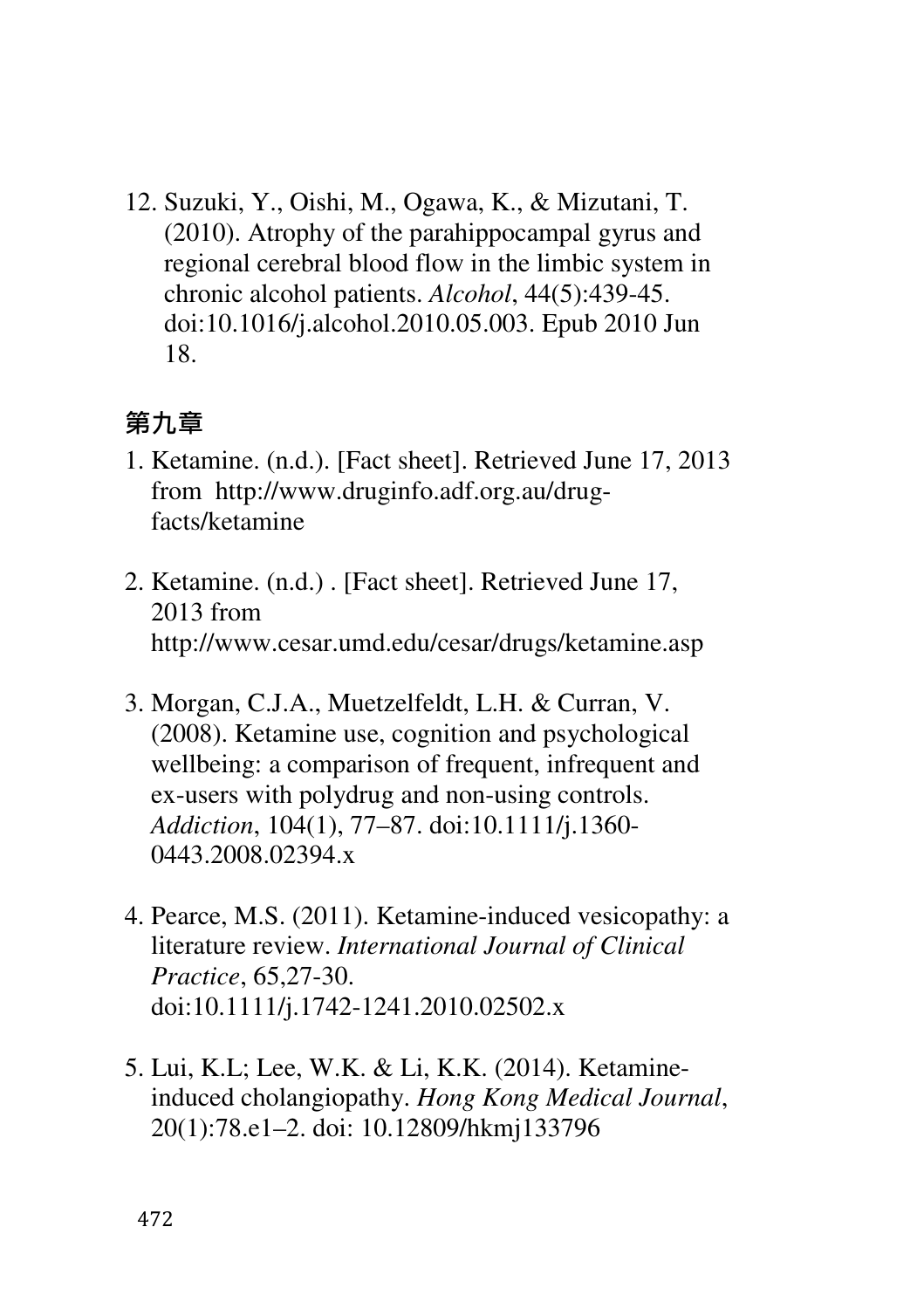12. Suzuki, Y., Oishi, M., Ogawa, K., & Mizutani, T. (2010). Atrophy of the parahippocampal gyrus and regional cerebral blood flow in the limbic system in chronic alcohol patients. *Alcohol*, 44(5):439-45. doi:10.1016/j.alcohol.2010.05.003. Epub 2010 Jun 18.

#### 第九章

- 1. Ketamine. (n.d.). [Fact sheet]. Retrieved June 17, 2013 from http://www.druginfo.adf.org.au/drugfacts/ketamine
- 2. Ketamine. (n.d.) . [Fact sheet]. Retrieved June 17, 2013 from http://www.cesar.umd.edu/cesar/drugs/ketamine.asp
- 3. Morgan, C.J.A., Muetzelfeldt, L.H. & Curran, V. (2008). Ketamine use, cognition and psychological wellbeing: a comparison of frequent, infrequent and ex-users with polydrug and non-using controls. *Addiction*, 104(1), 77–87. doi:10.1111/j.1360- 0443.2008.02394.x
- 4. Pearce, M.S. (2011). Ketamine-induced vesicopathy: a literature review. *International Journal of Clinical Practice*, 65,27-30. doi:10.1111/j.1742-1241.2010.02502.x
- 5. Lui, K.L; Lee, W.K. & Li, K.K. (2014). Ketamineinduced cholangiopathy. *Hong Kong Medical Journal*, 20(1):78.e1–2. doi: 10.12809/hkmj133796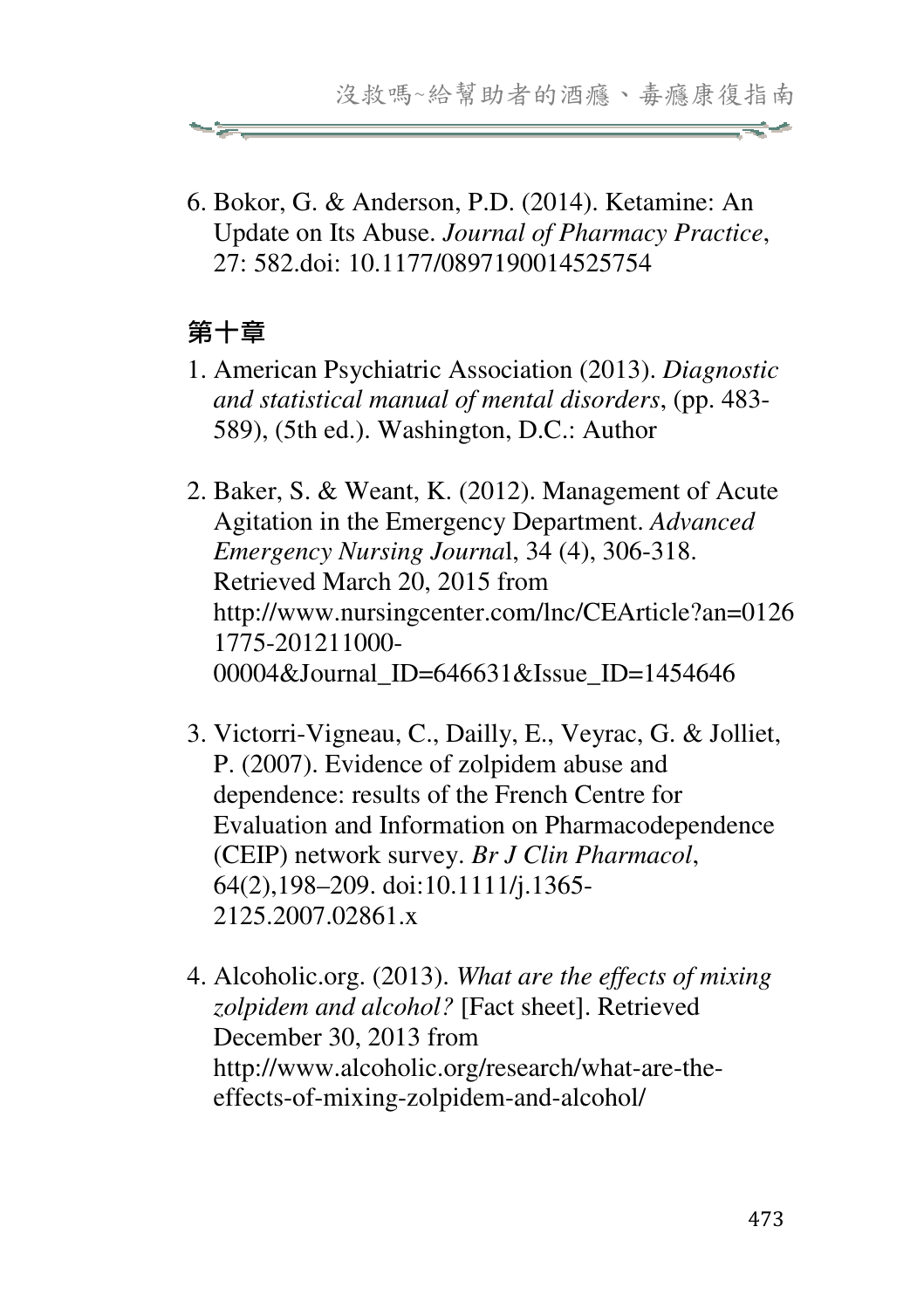6. Bokor, G. & Anderson, P.D. (2014). Ketamine: An Update on Its Abuse. *Journal of Pharmacy Practice*, 27: 582.doi: 10.1177/0897190014525754

# 第十章

- 1. American Psychiatric Association (2013). *Diagnostic and statistical manual of mental disorders*, (pp. 483- 589), (5th ed.). Washington, D.C.: Author
- 2. Baker, S. & Weant, K. (2012). Management of Acute Agitation in the Emergency Department. *Advanced Emergency Nursing Journa*l, 34 (4), 306-318. Retrieved March 20, 2015 from http://www.nursingcenter.com/lnc/CEArticle?an=0126 1775-201211000- 00004&Journal ID=646631&Issue ID=1454646
- 3. Victorri-Vigneau, C., Dailly, E., Veyrac, G. & Jolliet, P. (2007). Evidence of zolpidem abuse and dependence: results of the French Centre for Evaluation and Information on Pharmacodependence (CEIP) network survey. *Br J Clin Pharmacol*, 64(2),198–209. doi:10.1111/j.1365- 2125.2007.02861.x
- 4. Alcoholic.org. (2013). *What are the effects of mixing zolpidem and alcohol?* [Fact sheet]. Retrieved December 30, 2013 from http://www.alcoholic.org/research/what-are-theeffects-of-mixing-zolpidem-and-alcohol/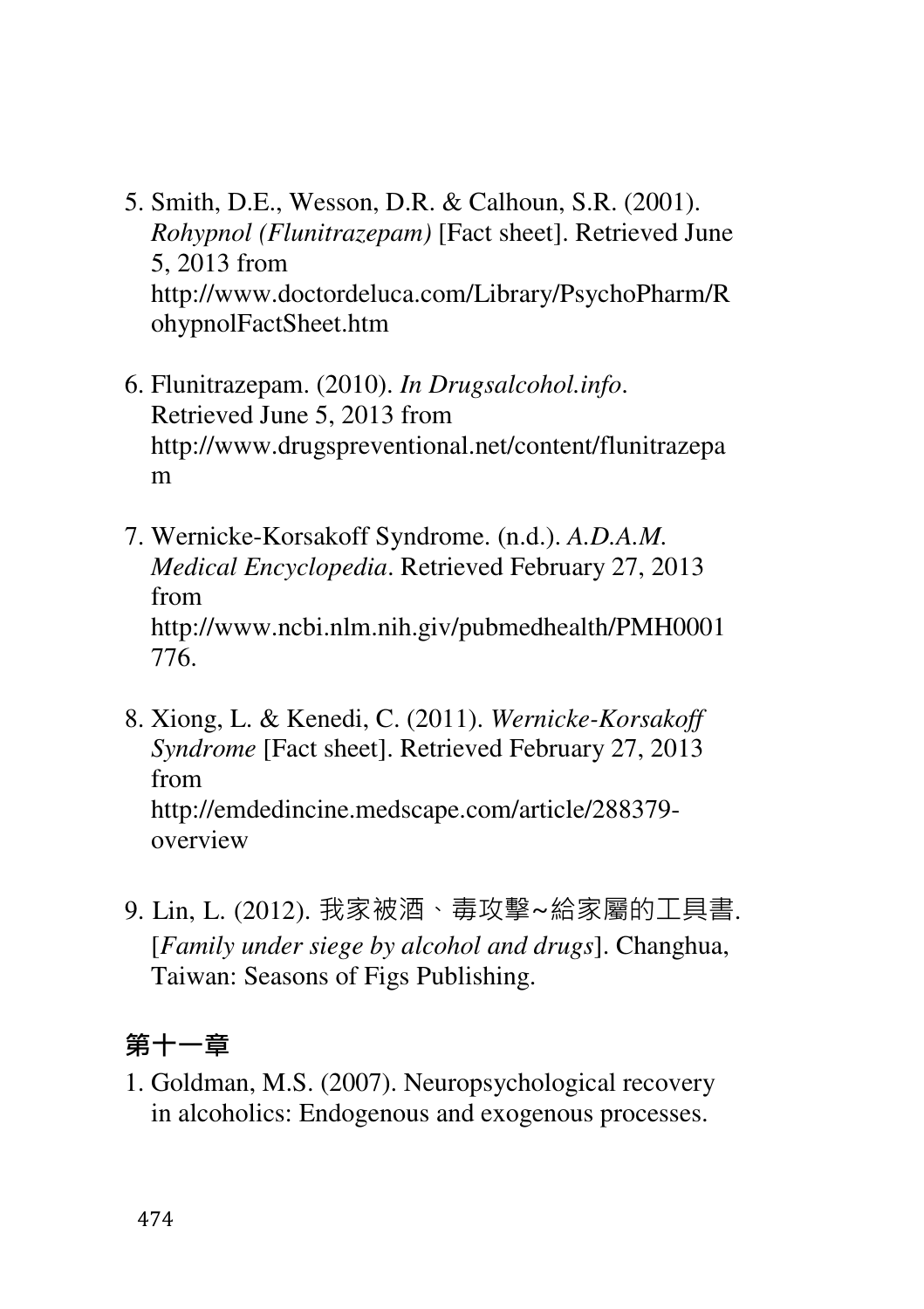- 5. Smith, D.E., Wesson, D.R. & Calhoun, S.R. (2001). *Rohypnol (Flunitrazepam)* [Fact sheet]. Retrieved June 5, 2013 from http://www.doctordeluca.com/Library/PsychoPharm/R ohypnolFactSheet.htm
- 6. Flunitrazepam. (2010). *In Drugsalcohol.info*. Retrieved June 5, 2013 from http://www.drugspreventional.net/content/flunitrazepa m
- 7. Wernicke-Korsakoff Syndrome. (n.d.). *A.D.A.M. Medical Encyclopedia*. Retrieved February 27, 2013 from http://www.ncbi.nlm.nih.giv/pubmedhealth/PMH0001 776.
- 8. Xiong, L. & Kenedi, C. (2011). *Wernicke-Korsakoff Syndrome* [Fact sheet]. Retrieved February 27, 2013 from http://emdedincine.medscape.com/article/288379 overview
- 9. Lin, L. (2012). 我家被酒、毒攻擊~給家屬的工具書. [*Family under siege by alcohol and drugs*]. Changhua, Taiwan: Seasons of Figs Publishing.

#### 第十一章

1. Goldman, M.S. (2007). Neuropsychological recovery in alcoholics: Endogenous and exogenous processes.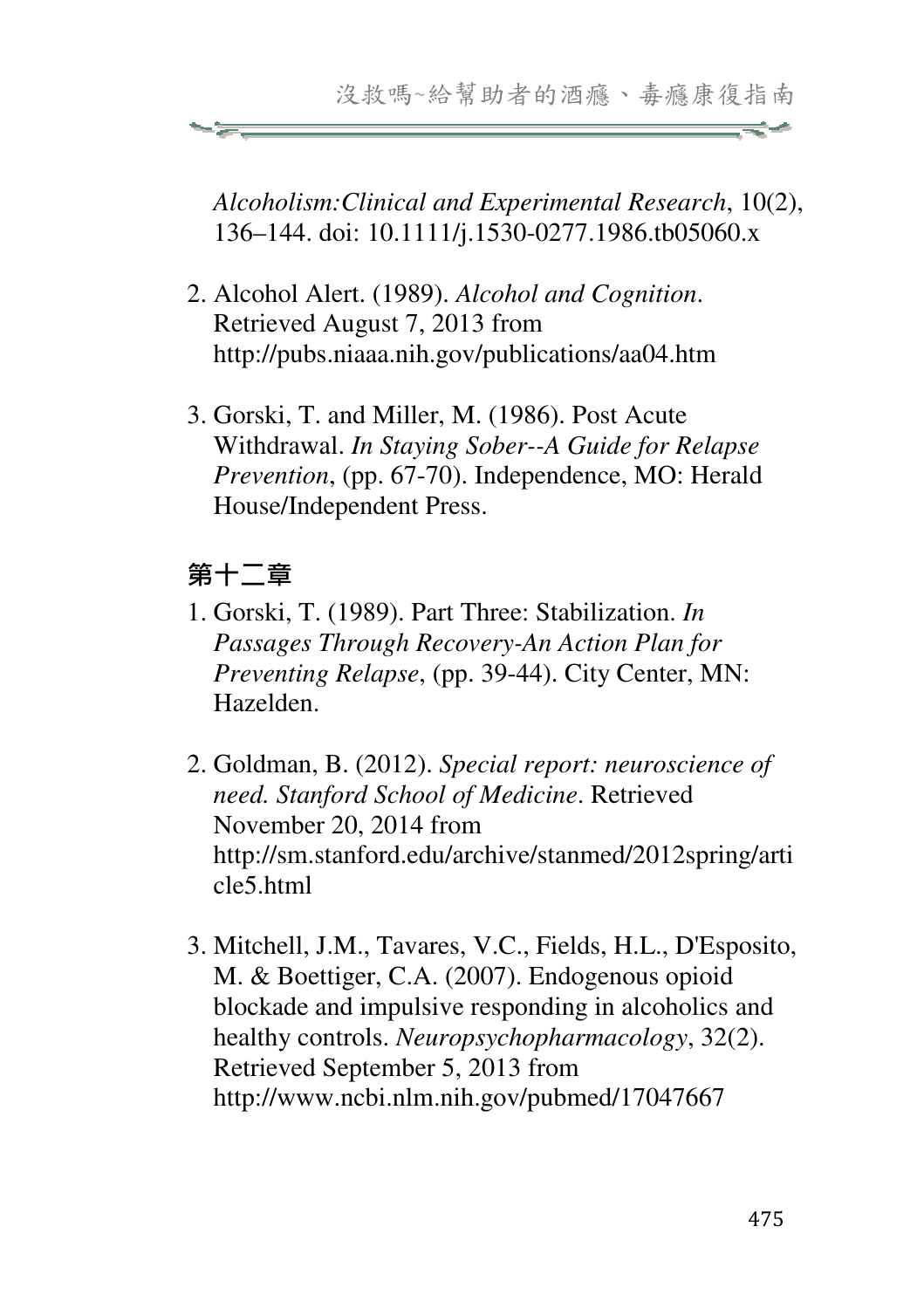*Alcoholism:Clinical and Experimental Research*, 10(2), 136–144. doi: 10.1111/j.1530-0277.1986.tb05060.x

- 2. Alcohol Alert. (1989). *Alcohol and Cognition*. Retrieved August 7, 2013 from http://pubs.niaaa.nih.gov/publications/aa04.htm
- 3. Gorski, T. and Miller, M. (1986). Post Acute Withdrawal. *In Staying Sober--A Guide for Relapse Prevention*, (pp. 67-70). Independence, MO: Herald House/Independent Press.

### 第十二章

- 1. Gorski, T. (1989). Part Three: Stabilization. *In Passages Through Recovery-An Action Plan for Preventing Relapse*, (pp. 39-44). City Center, MN: Hazelden.
- 2. Goldman, B. (2012). *Special report: neuroscience of need. Stanford School of Medicine*. Retrieved November 20, 2014 from http://sm.stanford.edu/archive/stanmed/2012spring/arti cle5.html
- 3. Mitchell, J.M., Tavares, V.C., Fields, H.L., D'Esposito, M. & Boettiger, C.A. (2007). Endogenous opioid blockade and impulsive responding in alcoholics and healthy controls. *Neuropsychopharmacology*, 32(2). Retrieved September 5, 2013 from http://www.ncbi.nlm.nih.gov/pubmed/17047667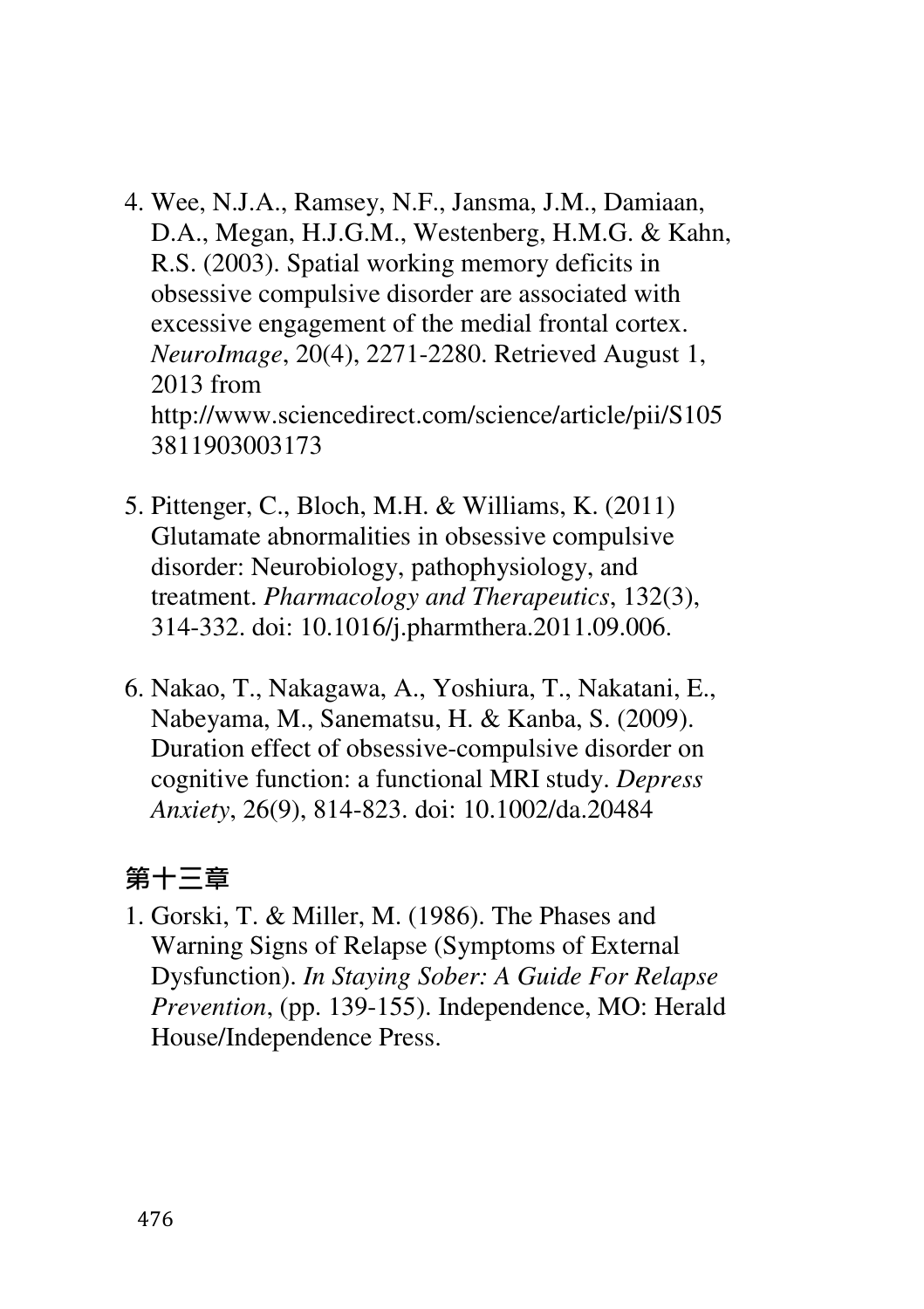- 4. Wee, N.J.A., Ramsey, N.F., Jansma, J.M., Damiaan, D.A., Megan, H.J.G.M., Westenberg, H.M.G. & Kahn, R.S. (2003). Spatial working memory deficits in obsessive compulsive disorder are associated with excessive engagement of the medial frontal cortex. *NeuroImage*, 20(4), 2271-2280. Retrieved August 1, 2013 from http://www.sciencedirect.com/science/article/pii/S105 3811903003173
- 5. Pittenger, C., Bloch, M.H. & Williams, K. (2011) Glutamate abnormalities in obsessive compulsive disorder: Neurobiology, pathophysiology, and treatment. *Pharmacology and Therapeutics*, 132(3), 314-332. doi: 10.1016/j.pharmthera.2011.09.006.
- 6. Nakao, T., Nakagawa, A., Yoshiura, T., Nakatani, E., Nabeyama, M., Sanematsu, H. & Kanba, S. (2009). Duration effect of obsessive-compulsive disorder on cognitive function: a functional MRI study. *Depress Anxiety*, 26(9), 814-823. doi: 10.1002/da.20484

# 第十三章

1. Gorski, T. & Miller, M. (1986). The Phases and Warning Signs of Relapse (Symptoms of External Dysfunction). *In Staying Sober: A Guide For Relapse Prevention*, (pp. 139-155). Independence, MO: Herald House/Independence Press.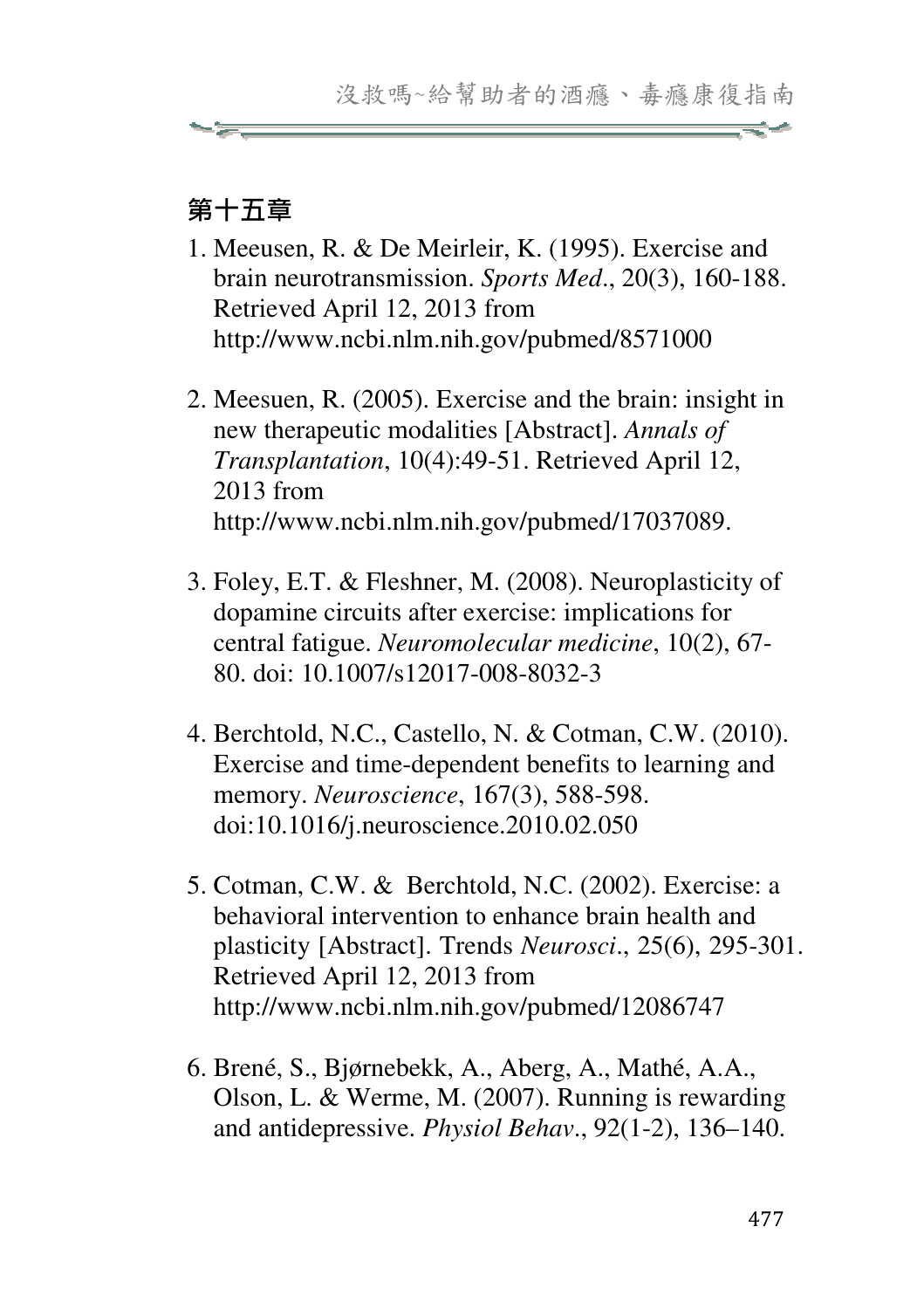#### 第十五章

- 1. Meeusen, R. & De Meirleir, K. (1995). Exercise and brain neurotransmission. *Sports Med*., 20(3), 160-188. Retrieved April 12, 2013 from http://www.ncbi.nlm.nih.gov/pubmed/8571000
- 2. Meesuen, R. (2005). Exercise and the brain: insight in new therapeutic modalities [Abstract]. *Annals of Transplantation*, 10(4):49-51. Retrieved April 12, 2013 from http://www.ncbi.nlm.nih.gov/pubmed/17037089.
- 3. Foley, E.T. & Fleshner, M. (2008). Neuroplasticity of dopamine circuits after exercise: implications for central fatigue. *Neuromolecular medicine*, 10(2), 67- 80. doi: 10.1007/s12017-008-8032-3
- 4. Berchtold, N.C., Castello, N. & Cotman, C.W. (2010). Exercise and time-dependent benefits to learning and memory. *Neuroscience*, 167(3), 588-598. doi:10.1016/j.neuroscience.2010.02.050
- 5. Cotman, C.W. & Berchtold, N.C. (2002). Exercise: a behavioral intervention to enhance brain health and plasticity [Abstract]. Trends *Neurosci*., 25(6), 295-301. Retrieved April 12, 2013 from http://www.ncbi.nlm.nih.gov/pubmed/12086747
- 6. Brené, S., Bjørnebekk, A., Aberg, A., Mathé, A.A., Olson, L. & Werme, M. (2007). Running is rewarding and antidepressive. *Physiol Behav*., 92(1-2), 136–140.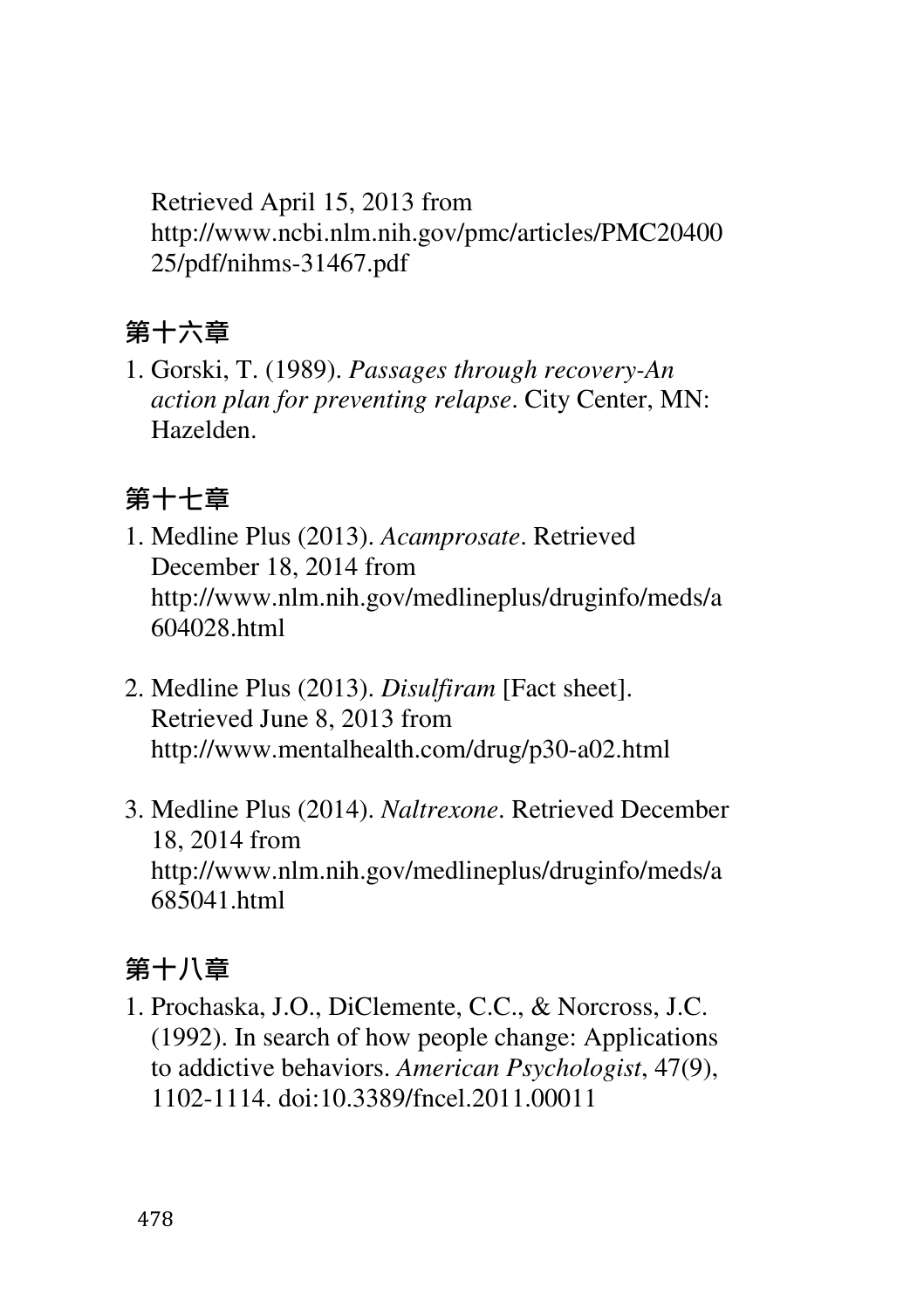Retrieved April 15, 2013 from http://www.ncbi.nlm.nih.gov/pmc/articles/PMC20400 25/pdf/nihms-31467.pdf

# 第十六章

1. Gorski, T. (1989). *Passages through recovery-An action plan for preventing relapse*. City Center, MN: Hazelden.

# 第十七章

- 1. Medline Plus (2013). *Acamprosate*. Retrieved December 18, 2014 from http://www.nlm.nih.gov/medlineplus/druginfo/meds/a 604028.html
- 2. Medline Plus (2013). *Disulfiram* [Fact sheet]. Retrieved June 8, 2013 from http://www.mentalhealth.com/drug/p30-a02.html
- 3. Medline Plus (2014). *Naltrexone*. Retrieved December 18, 2014 from http://www.nlm.nih.gov/medlineplus/druginfo/meds/a 685041.html

# 第十八章

1. Prochaska, J.O., DiClemente, C.C., & Norcross, J.C. (1992). In search of how people change: Applications to addictive behaviors. *American Psychologist*, 47(9), 1102-1114. doi:10.3389/fncel.2011.00011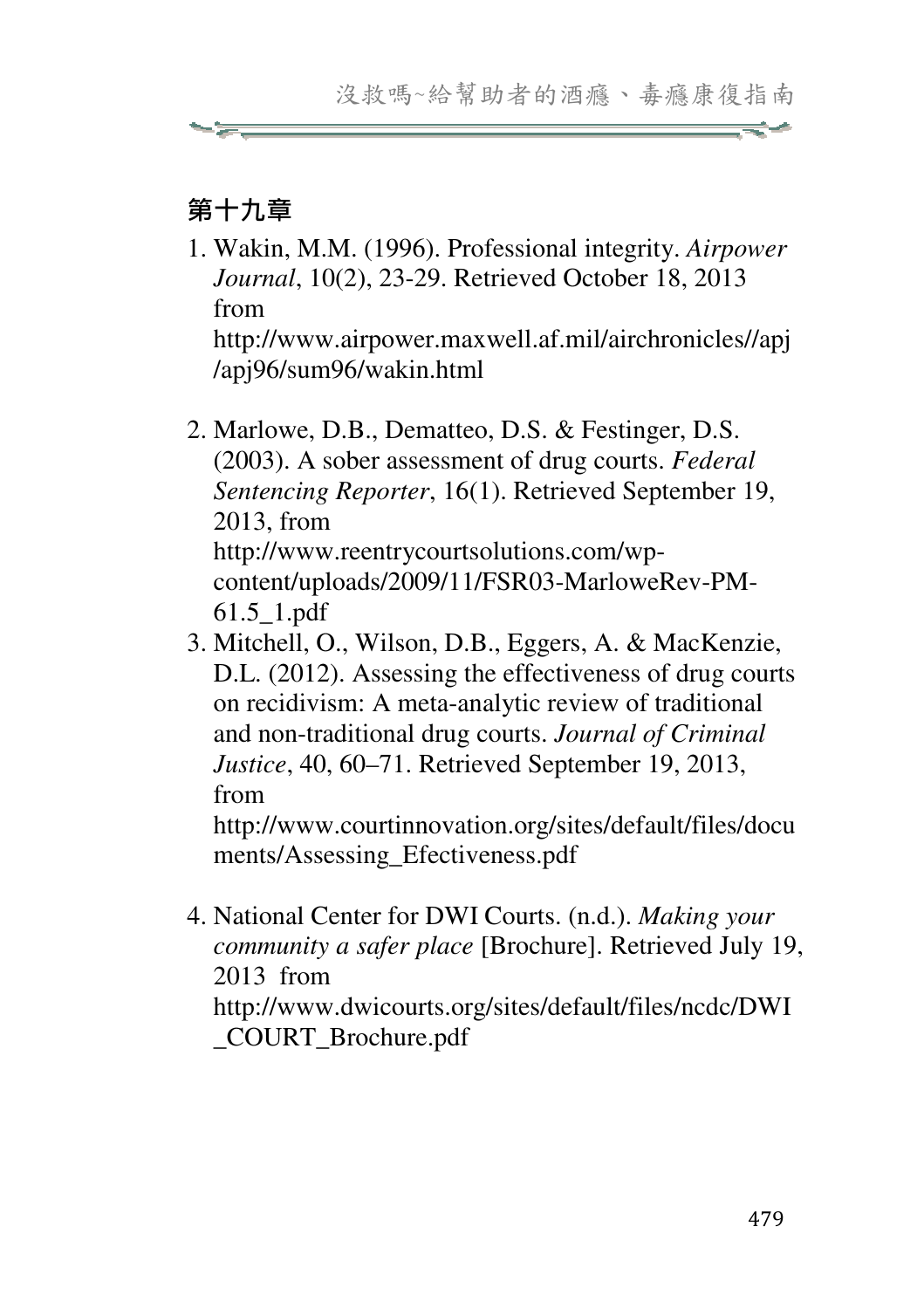# 第十九章

1. Wakin, M.M. (1996). Professional integrity. *Airpower Journal*, 10(2), 23-29. Retrieved October 18, 2013 from

http://www.airpower.maxwell.af.mil/airchronicles//apj /apj96/sum96/wakin.html

- 2. Marlowe, D.B., Dematteo, D.S. & Festinger, D.S. (2003). A sober assessment of drug courts. *Federal Sentencing Reporter*, 16(1). Retrieved September 19, 2013, from http://www.reentrycourtsolutions.com/wpcontent/uploads/2009/11/FSR03-MarloweRev-PM-61.5\_1.pdf
- 3. Mitchell, O., Wilson, D.B., Eggers, A. & MacKenzie, D.L. (2012). Assessing the effectiveness of drug courts on recidivism: A meta-analytic review of traditional and non-traditional drug courts. *Journal of Criminal Justice*, 40, 60–71. Retrieved September 19, 2013, from

http://www.courtinnovation.org/sites/default/files/docu ments/Assessing\_Efectiveness.pdf

4. National Center for DWI Courts. (n.d.). *Making your community a safer place* [Brochure]. Retrieved July 19, 2013 from

http://www.dwicourts.org/sites/default/files/ncdc/DWI \_COURT\_Brochure.pdf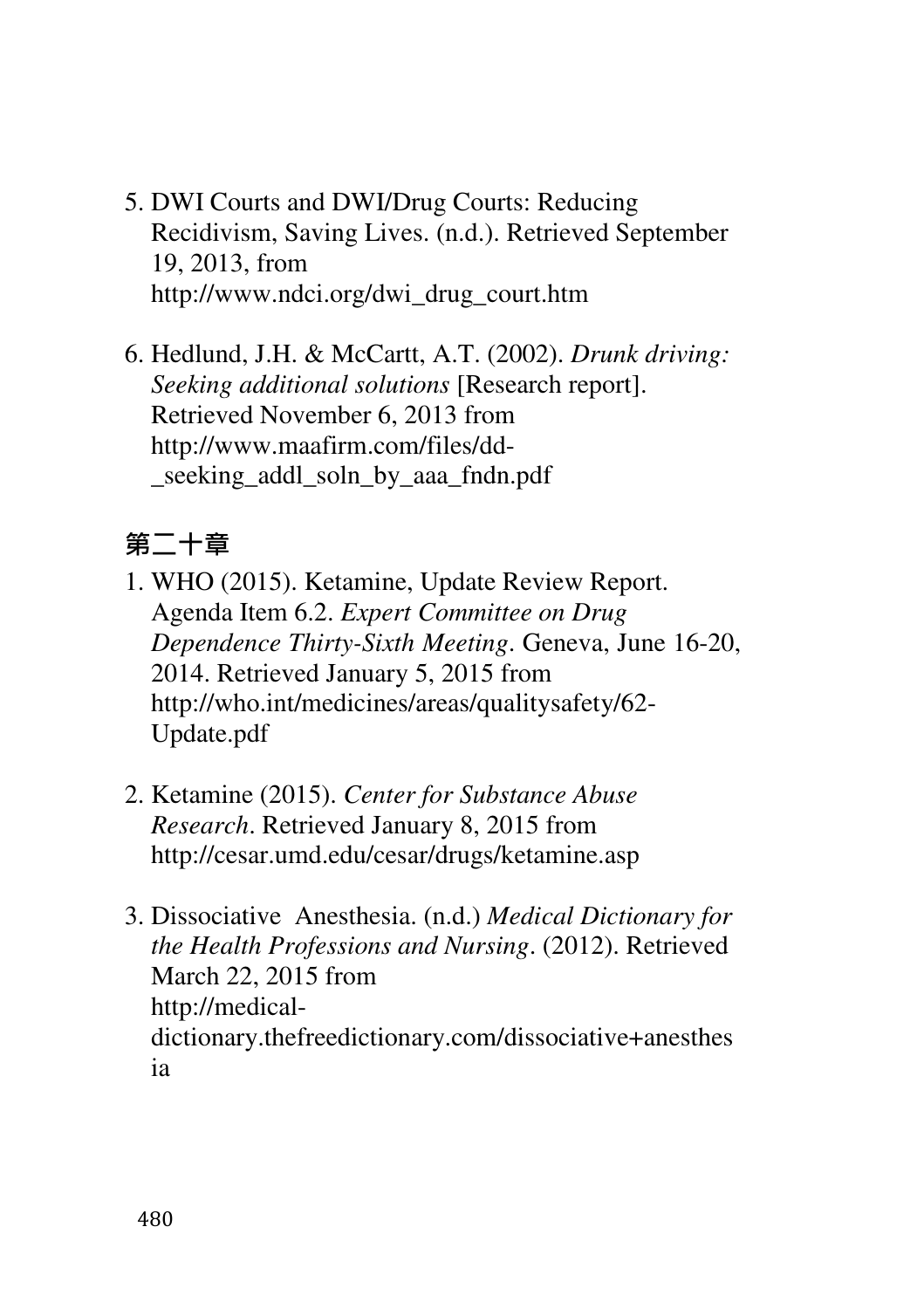- 5. DWI Courts and DWI/Drug Courts: Reducing Recidivism, Saving Lives. (n.d.). Retrieved September 19, 2013, from http://www.ndci.org/dwi\_drug\_court.htm
- 6. Hedlund, J.H. & McCartt, A.T. (2002). *Drunk driving: Seeking additional solutions* [Research report]. Retrieved November 6, 2013 from http://www.maafirm.com/files/dd seeking addl soln by aaa fndn.pdf

# 第二十章

- 1. WHO (2015). Ketamine, Update Review Report. Agenda Item 6.2. *Expert Committee on Drug Dependence Thirty-Sixth Meeting*. Geneva, June 16-20, 2014. Retrieved January 5, 2015 from http://who.int/medicines/areas/qualitysafety/62- Update.pdf
- 2. Ketamine (2015). *Center for Substance Abuse Research*. Retrieved January 8, 2015 from http://cesar.umd.edu/cesar/drugs/ketamine.asp
- 3. Dissociative Anesthesia. (n.d.) *Medical Dictionary for the Health Professions and Nursing*. (2012). Retrieved March 22, 2015 from http://medicaldictionary.thefreedictionary.com/dissociative+anesthes ia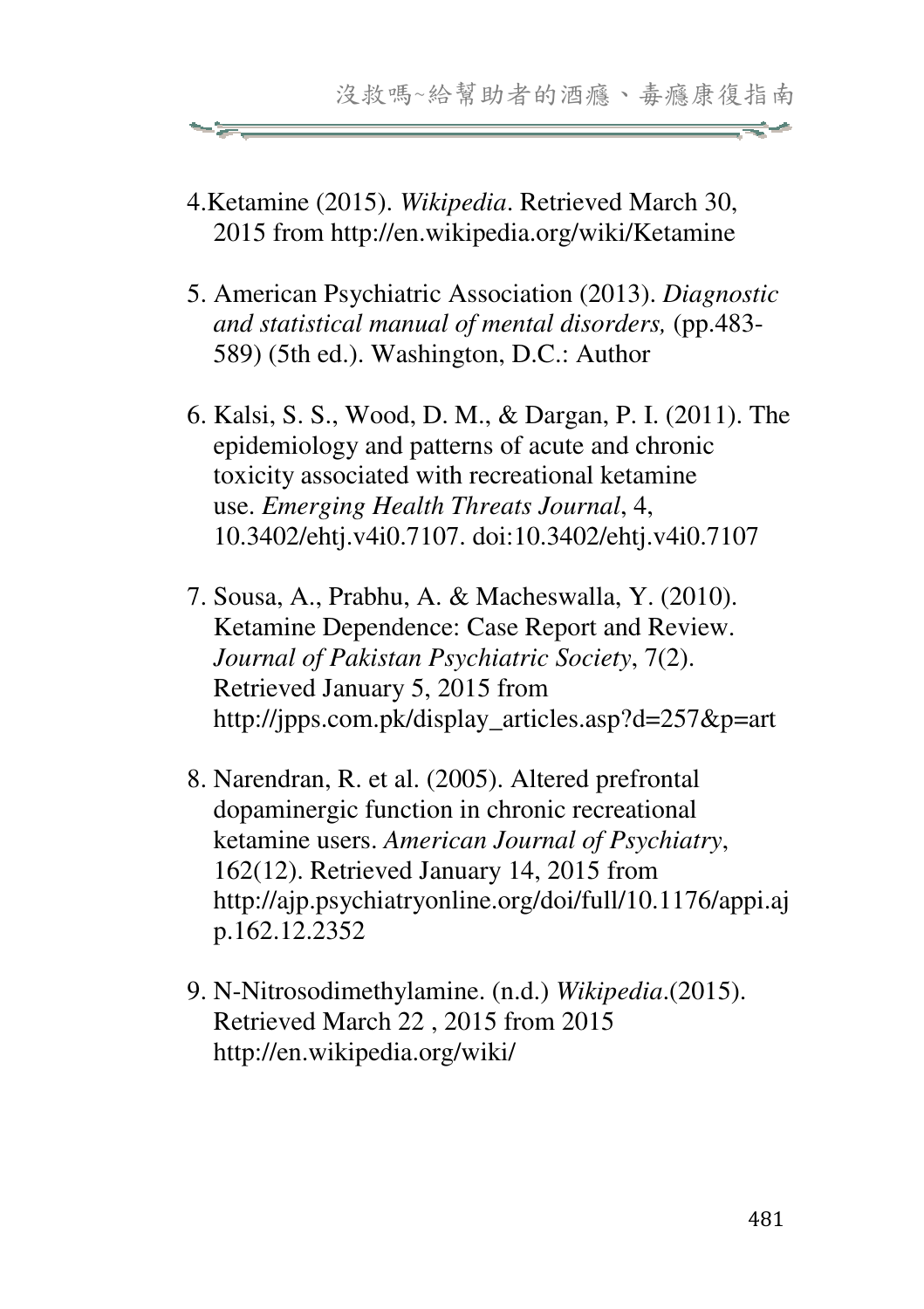- 4.Ketamine (2015). *Wikipedia*. Retrieved March 30, 2015 from http://en.wikipedia.org/wiki/Ketamine
- 5. American Psychiatric Association (2013). *Diagnostic and statistical manual of mental disorders,* (pp.483- 589) (5th ed.). Washington, D.C.: Author
- 6. Kalsi, S. S., Wood, D. M., & Dargan, P. I. (2011). The epidemiology and patterns of acute and chronic toxicity associated with recreational ketamine use. *Emerging Health Threats Journal*, 4, 10.3402/ehtj.v4i0.7107. doi:10.3402/ehtj.v4i0.7107
- 7. Sousa, A., Prabhu, A. & Macheswalla, Y. (2010). Ketamine Dependence: Case Report and Review. *Journal of Pakistan Psychiatric Society*, 7(2). Retrieved January 5, 2015 from http://jpps.com.pk/display\_articles.asp?d=257&p=art
- 8. Narendran, R. et al. (2005). Altered prefrontal dopaminergic function in chronic recreational ketamine users. *American Journal of Psychiatry*, 162(12). Retrieved January 14, 2015 from http://ajp.psychiatryonline.org/doi/full/10.1176/appi.aj p.162.12.2352
- 9. N-Nitrosodimethylamine. (n.d.) *Wikipedia*.(2015). Retrieved March 22 , 2015 from 2015 http://en.wikipedia.org/wiki/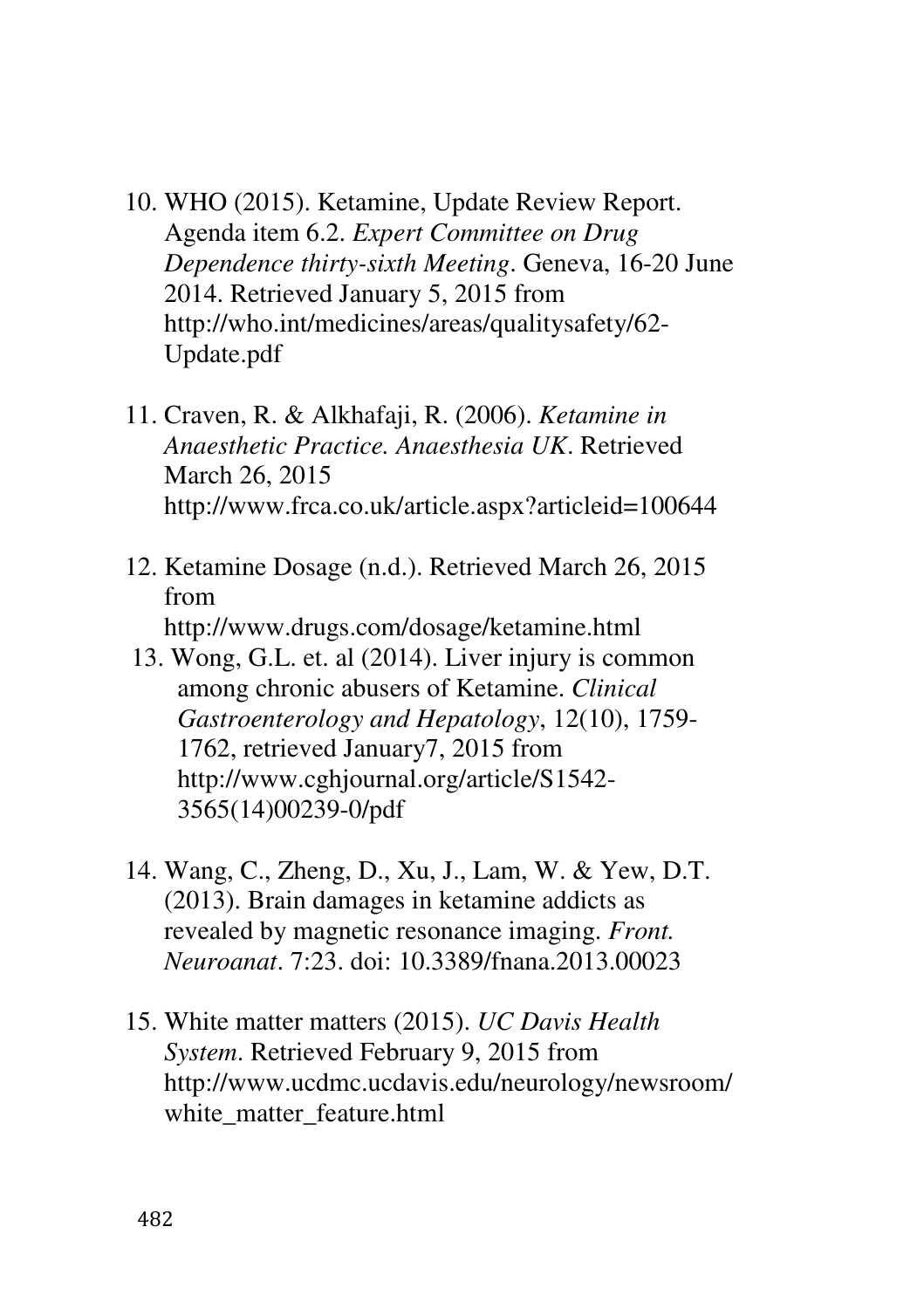- 10. WHO (2015). Ketamine, Update Review Report. Agenda item 6.2. *Expert Committee on Drug Dependence thirty-sixth Meeting*. Geneva, 16-20 June 2014. Retrieved January 5, 2015 from http://who.int/medicines/areas/qualitysafety/62- Update.pdf
- 11. Craven, R. & Alkhafaji, R. (2006). *Ketamine in Anaesthetic Practice. Anaesthesia UK*. Retrieved March 26, 2015 http://www.frca.co.uk/article.aspx?articleid=100644
- 12. Ketamine Dosage (n.d.). Retrieved March 26, 2015 from http://www.drugs.com/dosage/ketamine.html
- 13. Wong, G.L. et. al (2014). Liver injury is common among chronic abusers of Ketamine. *Clinical Gastroenterology and Hepatology*, 12(10), 1759- 1762, retrieved January7, 2015 from http://www.cghjournal.org/article/S1542- 3565(14)00239-0/pdf
- 14. Wang, C., Zheng, D., Xu, J., Lam, W. & Yew, D.T. (2013). Brain damages in ketamine addicts as revealed by magnetic resonance imaging. *Front. Neuroanat*. 7:23. doi: 10.3389/fnana.2013.00023
- 15. White matter matters (2015). *UC Davis Health System*. Retrieved February 9, 2015 from http://www.ucdmc.ucdavis.edu/neurology/newsroom/ white matter feature.html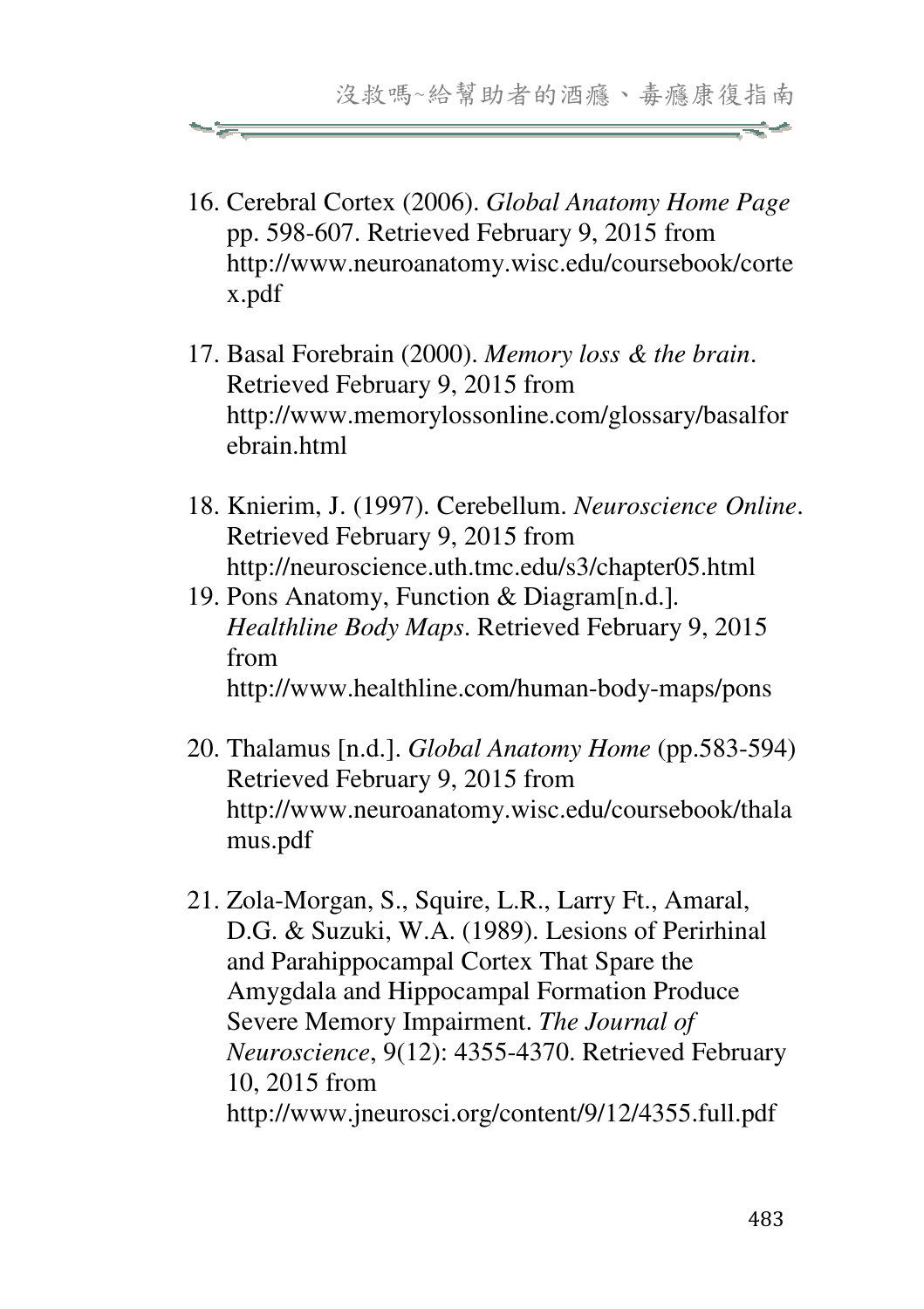- 16. Cerebral Cortex (2006). *Global Anatomy Home Page* pp. 598-607. Retrieved February 9, 2015 from http://www.neuroanatomy.wisc.edu/coursebook/corte x.pdf
- 17. Basal Forebrain (2000). *Memory loss & the brain*. Retrieved February 9, 2015 from http://www.memorylossonline.com/glossary/basalfor ehrain html
- 18. Knierim, J. (1997). Cerebellum. *Neuroscience Online*. Retrieved February 9, 2015 from http://neuroscience.uth.tmc.edu/s3/chapter05.html
- 19. Pons Anatomy, Function & Diagram[n.d.]*. Healthline Body Maps*. Retrieved February 9, 2015 from http://www.healthline.com/human-body-maps/pons
- 20. Thalamus [n.d.]. *Global Anatomy Home* (pp.583-594) Retrieved February 9, 2015 from http://www.neuroanatomy.wisc.edu/coursebook/thala mus.pdf
- 21. Zola-Morgan, S., Squire, L.R., Larry Ft., Amaral, D.G. & Suzuki, W.A. (1989). Lesions of Perirhinal and Parahippocampal Cortex That Spare the Amygdala and Hippocampal Formation Produce Severe Memory Impairment. *The Journal of Neuroscience*, 9(12): 4355-4370. Retrieved February 10, 2015 from http://www.jneurosci.org/content/9/12/4355.full.pdf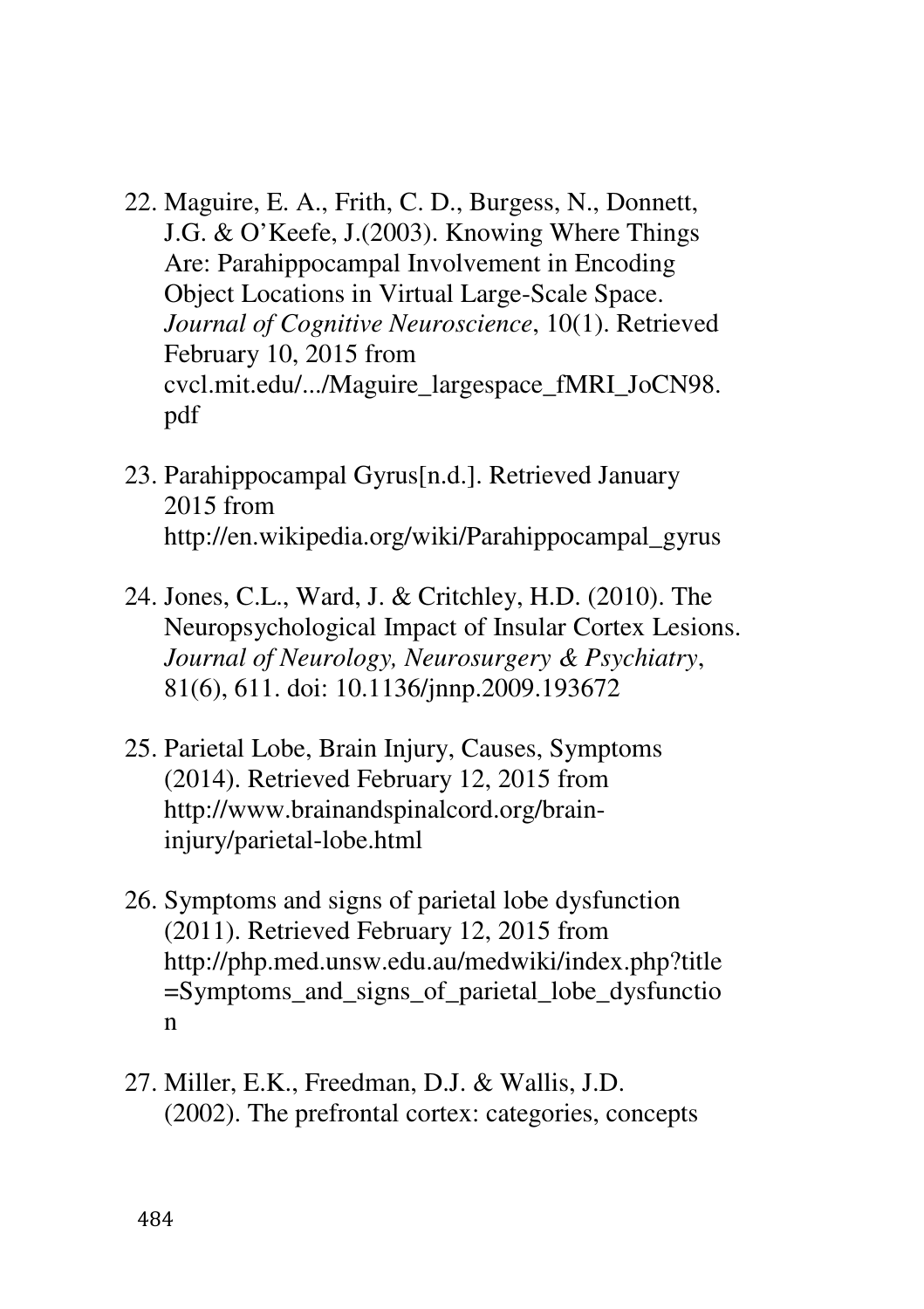- 22. Maguire, E. A., Frith, C. D., Burgess, N., Donnett, J.G. & O'Keefe, J.(2003). Knowing Where Things Are: Parahippocampal Involvement in Encoding Object Locations in Virtual Large-Scale Space. *Journal of Cognitive Neuroscience*, 10(1). Retrieved February 10, 2015 from cvcl.mit.edu/.../Maguire\_largespace\_fMRI\_JoCN98. pdf
- 23. Parahippocampal Gyrus[n.d.]. Retrieved January 2015 from http://en.wikipedia.org/wiki/Parahippocampal\_gyrus
- 24. Jones, C.L., Ward, J. & Critchley, H.D. (2010). The Neuropsychological Impact of Insular Cortex Lesions. *Journal of Neurology, Neurosurgery & Psychiatry*, 81(6), 611. doi: 10.1136/jnnp.2009.193672
- 25. Parietal Lobe, Brain Injury, Causes, Symptoms (2014). Retrieved February 12, 2015 from http://www.brainandspinalcord.org/braininjury/parietal-lobe.html
- 26. Symptoms and signs of parietal lobe dysfunction (2011). Retrieved February 12, 2015 from http://php.med.unsw.edu.au/medwiki/index.php?title =Symptoms\_and\_signs\_of\_parietal\_lobe\_dysfunctio n
- 27. Miller, E.K., Freedman, D.J. & Wallis, J.D. (2002). The prefrontal cortex: categories, concepts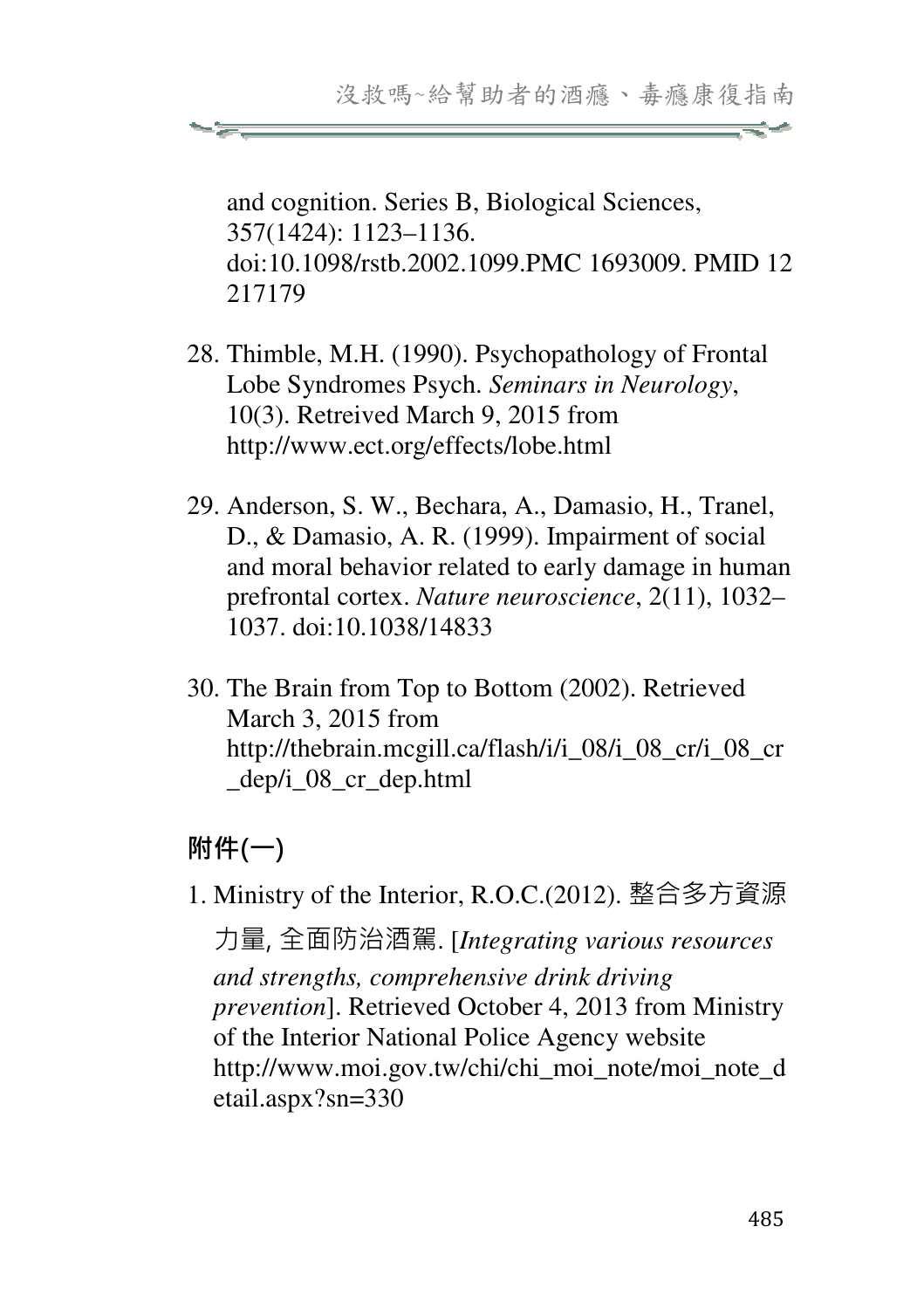and cognition. Series B, Biological Sciences, 357(1424): 1123–1136. doi:10.1098/rstb.2002.1099.PMC 1693009. PMID 12 217179

- 28. Thimble, M.H. (1990). Psychopathology of Frontal Lobe Syndromes Psych. *Seminars in Neurology*, 10(3). Retreived March 9, 2015 from http://www.ect.org/effects/lobe.html
- 29. Anderson, S. W., Bechara, A., Damasio, H., Tranel, D., & Damasio, A. R. (1999). Impairment of social and moral behavior related to early damage in human prefrontal cortex. *Nature neuroscience*, 2(11), 1032– 1037. doi:10.1038/14833
- 30. The Brain from Top to Bottom (2002). Retrieved March 3, 2015 from http://thebrain.mcgill.ca/flash/i/i\_08/i\_08\_cr/i\_08\_cr \_dep/i\_08\_cr\_dep.html

# 附件(一)

1. Ministry of the Interior, R.O.C.(2012). 整合多方資源

力量, 全面防治酒駕. [*Integrating various resources and strengths, comprehensive drink driving prevention*]. Retrieved October 4, 2013 from Ministry of the Interior National Police Agency website http://www.moi.gov.tw/chi/chi\_moi\_note/moi\_note\_d etail.aspx?sn=330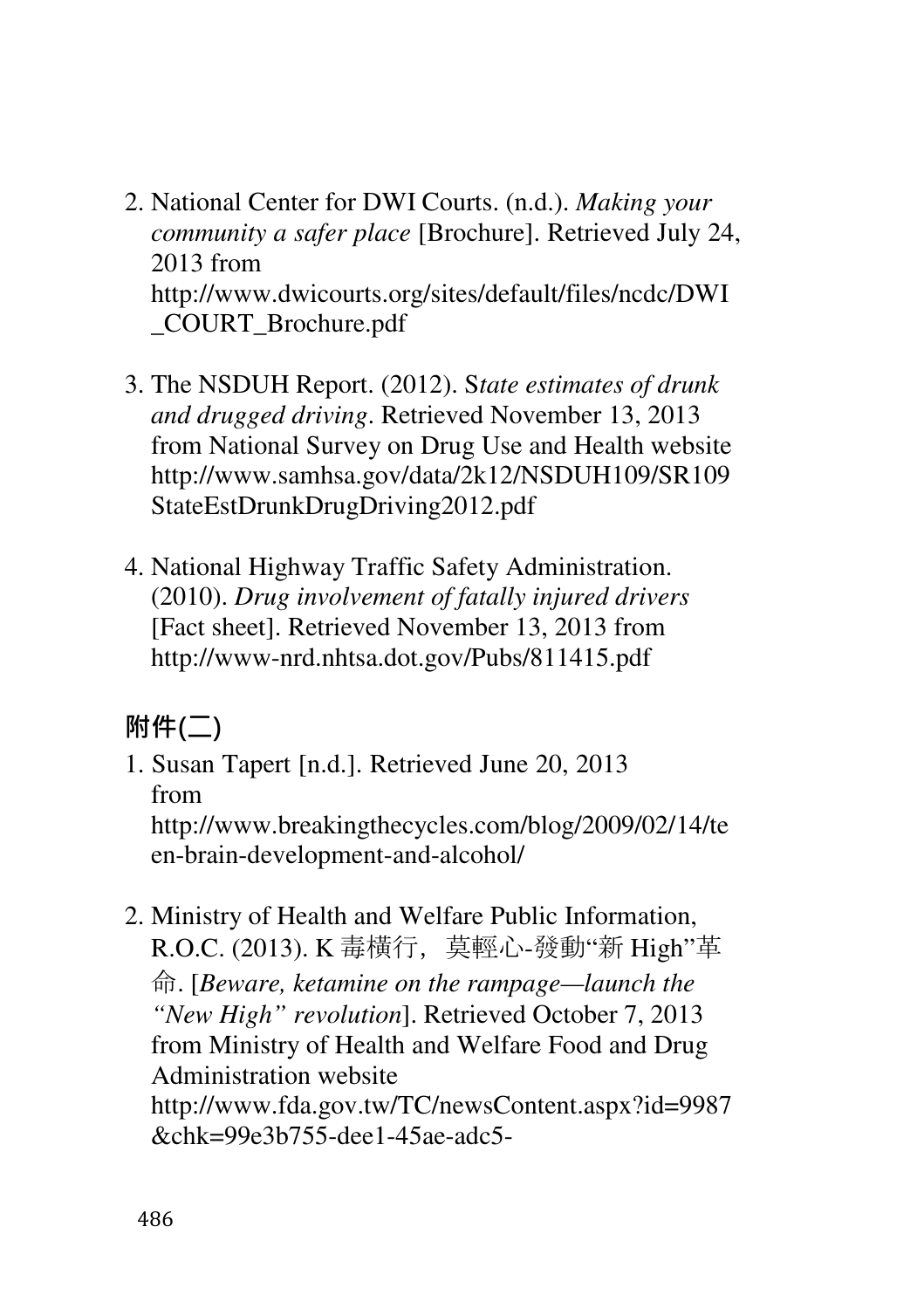- 2. National Center for DWI Courts. (n.d.). *Making your community a safer place* [Brochure]. Retrieved July 24, 2013 from http://www.dwicourts.org/sites/default/files/ncdc/DWI \_COURT\_Brochure.pdf
- 3. The NSDUH Report. (2012). S*tate estimates of drunk and drugged driving*. Retrieved November 13, 2013 from National Survey on Drug Use and Health website http://www.samhsa.gov/data/2k12/NSDUH109/SR109 StateEstDrunkDrugDriving2012.pdf
- 4. National Highway Traffic Safety Administration. (2010). *Drug involvement of fatally injured drivers* [Fact sheet]. Retrieved November 13, 2013 from http://www-nrd.nhtsa.dot.gov/Pubs/811415.pdf

# 附件(二)

- 1. Susan Tapert [n.d.]. Retrieved June 20, 2013 from http://www.breakingthecycles.com/blog/2009/02/14/te en-brain-development-and-alcohol/
- 2. Ministry of Health and Welfare Public Information, R.O.C. (2013). K 毒橫行,莫輕心-發動"新 High"革 命. [*Beware, ketamine on the rampage—launch the "New High" revolution*]. Retrieved October 7, 2013 from Ministry of Health and Welfare Food and Drug Administration website http://www.fda.gov.tw/TC/newsContent.aspx?id=9987 &chk=99e3b755-dee1-45ae-adc5-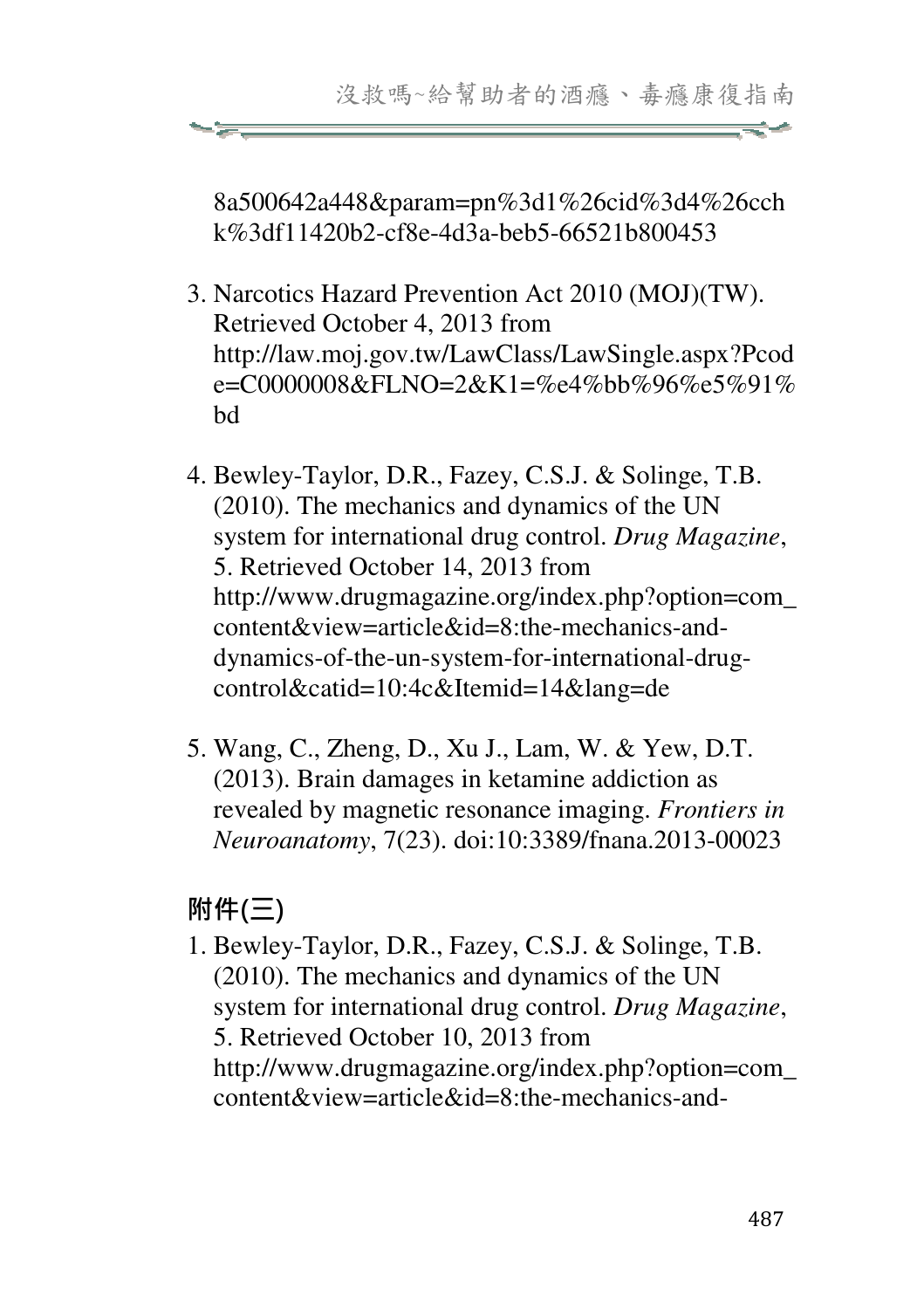8a500642a448&param=pn%3d1%26cid%3d4%26cch k%3df11420b2-cf8e-4d3a-beb5-66521b800453

- 3. Narcotics Hazard Prevention Act 2010 (MOJ)(TW). Retrieved October 4, 2013 from http://law.moj.gov.tw/LawClass/LawSingle.aspx?Pcod e=C0000008&FLNO=2&K1=%e4%bb%96%e5%91% bd
- 4. Bewley-Taylor, D.R., Fazey, C.S.J. & Solinge, T.B. (2010). The mechanics and dynamics of the UN system for international drug control. *Drug Magazine*, 5. Retrieved October 14, 2013 from http://www.drugmagazine.org/index.php?option=com\_ content&view=article&id=8:the-mechanics-anddynamics-of-the-un-system-for-international-drugcontrol&catid=10:4c&Itemid=14&lang=de
- 5. Wang, C., Zheng, D., Xu J., Lam, W. & Yew, D.T. (2013). Brain damages in ketamine addiction as revealed by magnetic resonance imaging. *Frontiers in Neuroanatomy*, 7(23). doi:10:3389/fnana.2013-00023

# 附件(三)

1. Bewley-Taylor, D.R., Fazey, C.S.J. & Solinge, T.B. (2010). The mechanics and dynamics of the UN system for international drug control. *Drug Magazine*, 5. Retrieved October 10, 2013 from http://www.drugmagazine.org/index.php?option=com\_ content&view=article&id=8:the-mechanics-and